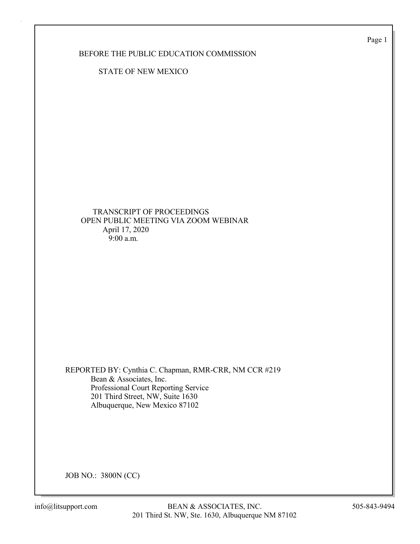Page 1

BEFORE THE PUBLIC EDUCATION COMMISSION

STATE OF NEW MEXICO

 TRANSCRIPT OF PROCEEDINGS OPEN PUBLIC MEETING VIA ZOOM WEBINAR April 17, 2020 9:00 a.m.

REPORTED BY: Cynthia C. Chapman, RMR-CRR, NM CCR #219 Bean & Associates, Inc. Professional Court Reporting Service 201 Third Street, NW, Suite 1630 Albuquerque, New Mexico 87102

JOB NO.: 3800N (CC)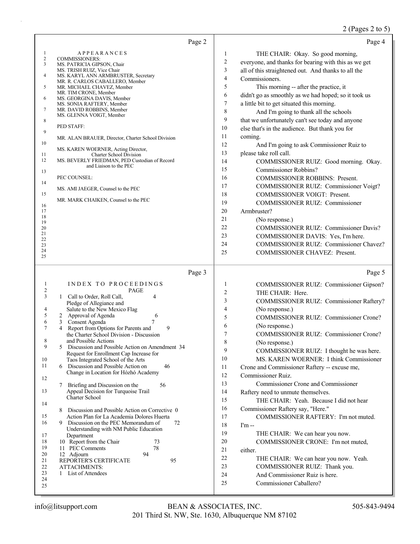## 2 (Pages 2 to 5)

|                                                                                                                                                 | Page 2                                                                                                                                                                                                                                                                                                                                                                                                                                                                                                                                                                                                                                                                                                                                                                                                                                                                                                                                                                                                                                   |                                                                                                                                                                                                                                                                                                                                                                                                                                                                                                                                                                                                                                                                                                                                                                                                                                                                                                                                                                                                                                                                 | Page 4 |
|-------------------------------------------------------------------------------------------------------------------------------------------------|------------------------------------------------------------------------------------------------------------------------------------------------------------------------------------------------------------------------------------------------------------------------------------------------------------------------------------------------------------------------------------------------------------------------------------------------------------------------------------------------------------------------------------------------------------------------------------------------------------------------------------------------------------------------------------------------------------------------------------------------------------------------------------------------------------------------------------------------------------------------------------------------------------------------------------------------------------------------------------------------------------------------------------------|-----------------------------------------------------------------------------------------------------------------------------------------------------------------------------------------------------------------------------------------------------------------------------------------------------------------------------------------------------------------------------------------------------------------------------------------------------------------------------------------------------------------------------------------------------------------------------------------------------------------------------------------------------------------------------------------------------------------------------------------------------------------------------------------------------------------------------------------------------------------------------------------------------------------------------------------------------------------------------------------------------------------------------------------------------------------|--------|
| $\mathbf{1}$<br>$\overline{c}$<br>3<br>4<br>5<br>6<br>7<br>8<br>9<br>10<br>11<br>12<br>13<br>14<br>15<br>16<br>17<br>18<br>19<br>20<br>21<br>22 | <b>APPEARANCES</b><br>COMMISSIONERS:<br>MS. PATRICIA GIPSON, Chair<br>MS. TRISH RUIZ, Vice Chair<br>MS. KARYL ANN ARMBRUSTER, Secretary<br>MR. R. CARLOS CABALLERO, Member<br>MR. MICHAEL CHAVEZ, Member<br>MR. TIM CRONE, Member<br>MS. GEORGINA DAVIS, Member<br>MS. SONIA RAFTERY, Member<br>MR. DAVID ROBBINS, Member<br>MS. GLENNA VOIGT, Member<br>PED STAFF:<br>MR. ALAN BRAUER, Director, Charter School Division<br>MS. KAREN WOERNER, Acting Director,<br><b>Charter School Division</b><br>MS. BEVERLY FRIEDMAN, PED Custodian of Record<br>and Liaison to the PEC<br>PEC COUNSEL:<br>MS. AMI JAEGER, Counsel to the PEC<br>MR. MARK CHAIKEN, Counsel to the PEC                                                                                                                                                                                                                                                                                                                                                              | 1<br>THE CHAIR: Okay. So good morning,<br>2<br>everyone, and thanks for bearing with this as we get<br>3<br>all of this straightened out. And thanks to all the<br>$\overline{4}$<br>Commissioners.<br>5<br>This morning -- after the practice, it<br>6<br>didn't go as smoothly as we had hoped; so it took us<br>$\tau$<br>a little bit to get situated this morning.<br>8<br>And I'm going to thank all the schools<br>9<br>that we unfortunately can't see today and anyone<br>10<br>else that's in the audience. But thank you for<br>11<br>coming.<br>12<br>And I'm going to ask Commissioner Ruiz to<br>13<br>please take roll call.<br>14<br>COMMISSIONER RUIZ: Good morning. Okay.<br>15<br>Commissioner Robbins?<br>16<br><b>COMMISSIONER ROBBINS: Present.</b><br>17<br>COMMISSIONER RUIZ: Commissioner Voigt?<br>18<br>COMMISSIONER VOIGT: Present.<br>19<br><b>COMMISSIONER RUIZ: Commissioner</b><br>20<br>Armbruster?<br>21<br>(No response.)<br>22<br><b>COMMISSIONER RUIZ: Commissioner Davis?</b><br>23<br>COMMISSIONER DAVIS: Yes, I'm here. |        |
| 23<br>24                                                                                                                                        |                                                                                                                                                                                                                                                                                                                                                                                                                                                                                                                                                                                                                                                                                                                                                                                                                                                                                                                                                                                                                                          | 24<br>COMMISSIONER RUIZ: Commissioner Chavez?<br>25<br>COMMISSIONER CHAVEZ: Present.                                                                                                                                                                                                                                                                                                                                                                                                                                                                                                                                                                                                                                                                                                                                                                                                                                                                                                                                                                            |        |
| 25                                                                                                                                              |                                                                                                                                                                                                                                                                                                                                                                                                                                                                                                                                                                                                                                                                                                                                                                                                                                                                                                                                                                                                                                          |                                                                                                                                                                                                                                                                                                                                                                                                                                                                                                                                                                                                                                                                                                                                                                                                                                                                                                                                                                                                                                                                 |        |
|                                                                                                                                                 |                                                                                                                                                                                                                                                                                                                                                                                                                                                                                                                                                                                                                                                                                                                                                                                                                                                                                                                                                                                                                                          |                                                                                                                                                                                                                                                                                                                                                                                                                                                                                                                                                                                                                                                                                                                                                                                                                                                                                                                                                                                                                                                                 |        |
| 1<br>$\overline{c}$<br>3<br>4<br>5<br>6<br>7<br>8<br>9<br>10<br>11<br>12<br>13<br>14<br>15<br>16<br>17<br>18<br>19<br>20<br>21<br>22<br>23      | Page 3<br>INDEX TO PROCEEDINGS<br>PAGE<br>1 Call to Order, Roll Call,<br>4<br>Pledge of Allegiance and<br>Salute to the New Mexico Flag<br>2 Approval of Agenda<br>6<br>Consent Agenda<br>7<br>3<br>Report from Options for Parents and<br>9<br>4<br>the Charter School Division - Discussion<br>and Possible Actions<br>5<br>Discussion and Possible Action on Amendment 34<br>Request for Enrollment Cap Increase for<br>Taos Integrated School of the Arts<br>6<br>Discussion and Possible Action on<br>46<br>Change in Location for Hózhó Academy<br>7 Briefing and Discussion on the<br>56<br>Appeal Decision for Turquoise Trail<br><b>Charter School</b><br>Discussion and Possible Action on Corrective 0<br>8<br>Action Plan for La Academia Dolores Huerta<br>9 Discussion on the PEC Memorandum of<br>72<br>Understanding with NM Public Education<br>Department<br>10 Report from the Chair<br>73<br>78<br>11 PEC Comments<br>94<br>12 Adjourn<br>REPORTER'S CERTIFICATE<br>95<br><b>ATTACHMENTS:</b><br>1 List of Attendees | COMMISSIONER RUIZ: Commissioner Gipson?<br>1<br>$\overline{c}$<br>THE CHAIR: Here.<br>3<br>COMMISSIONER RUIZ: Commissioner Raftery?<br>4<br>(No response.)<br>5<br><b>COMMISSIONER RUIZ: Commissioner Crone?</b><br>6<br>(No response.)<br>7<br><b>COMMISSIONER RUIZ: Commissioner Crone?</b><br>8<br>(No response.)<br>9<br>COMMISSIONER RUIZ: I thought he was here.<br>10<br>MS. KAREN WOERNER: I think Commissioner<br>11<br>Crone and Commissioner Raftery -- excuse me,<br>12<br>Commissioner Ruiz.<br>13<br>Commissioner Crone and Commissioner<br>14<br>Raftery need to unmute themselves.<br>15<br>THE CHAIR: Yeah. Because I did not hear<br>16<br>Commissioner Raftery say, "Here."<br>17<br>COMMISSIONER RAFTERY: I'm not muted.<br>18<br>$Im -$<br>19<br>THE CHAIR: We can hear you now.<br>20<br>COMMISSIONER CRONE: I'm not muted,<br>21<br>either.<br>22<br>THE CHAIR: We can hear you now. Yeah.<br>23<br>COMMISSIONER RUIZ: Thank you.<br>24<br>And Commissioner Ruiz is here.                                                                | Page 5 |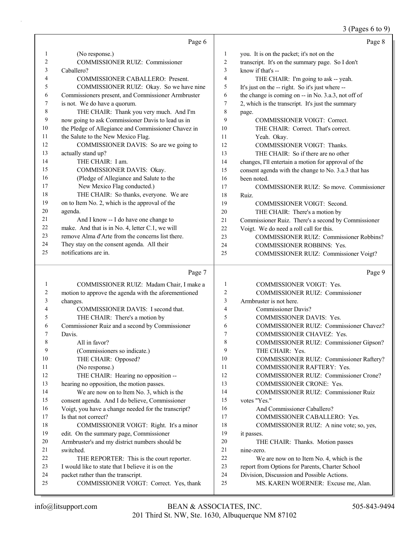$3$  (Pages 6 to 9)

|    |                                                     |                | $3 \times 1$ ugus 0 to 7                             |
|----|-----------------------------------------------------|----------------|------------------------------------------------------|
|    | Page 6                                              |                | Page 8                                               |
| 1  | (No response.)                                      | 1              | you. It is on the packet; it's not on the            |
| 2  | <b>COMMISSIONER RUIZ: Commissioner</b>              | 2              | transcript. It's on the summary page. So I don't     |
| 3  | Caballero?                                          | 3              | know if that's --                                    |
| 4  | <b>COMMISSIONER CABALLERO: Present.</b>             | $\overline{4}$ | THE CHAIR: I'm going to ask -- yeah.                 |
| 5  | COMMISSIONER RUIZ: Okay. So we have nine            | 5              | It's just on the -- right. So it's just where --     |
| 6  | Commissioners present, and Commissioner Armbruster  | 6              | the change is coming on -- in No. 3.a.3, not off of  |
| 7  | is not. We do have a quorum.                        | 7              | 2, which is the transcript. It's just the summary    |
| 8  | THE CHAIR: Thank you very much. And I'm             | 8              | page.                                                |
| 9  | now going to ask Commissioner Davis to lead us in   | 9              | <b>COMMISSIONER VOIGT: Correct.</b>                  |
| 10 | the Pledge of Allegiance and Commissioner Chavez in | 10             | THE CHAIR: Correct. That's correct.                  |
| 11 | the Salute to the New Mexico Flag.                  | 11             | Yeah. Okay.                                          |
| 12 | COMMISSIONER DAVIS: So are we going to              | 12             | COMMISSIONER VOIGT: Thanks.                          |
| 13 | actually stand up?                                  | 13             | THE CHAIR: So if there are no other                  |
| 14 | THE CHAIR: I am.                                    | 14             | changes, I'll entertain a motion for approval of the |
| 15 | COMMISSIONER DAVIS: Okay.                           | 15             | consent agenda with the change to No. 3.a.3 that has |
| 16 | (Pledge of Allegiance and Salute to the             | 16             | been noted.                                          |
| 17 | New Mexico Flag conducted.)                         | 17             | COMMISSIONER RUIZ: So move. Commissioner             |
| 18 | THE CHAIR: So thanks, everyone. We are              | 18             | Ruiz.                                                |
| 19 | on to Item No. 2, which is the approval of the      | 19             | <b>COMMISSIONER VOIGT: Second.</b>                   |
| 20 | agenda.                                             | 20             | THE CHAIR: There's a motion by                       |
| 21 | And I know -- I do have one change to               | 21             | Commissioner Ruiz. There's a second by Commissioner  |
| 22 | make. And that is in No. 4, letter C.1, we will     | 22             | Voigt. We do need a roll call for this.              |
| 23 | remove Alma d'Arte from the concerns list there.    | 23             | <b>COMMISSIONER RUIZ: Commissioner Robbins?</b>      |
| 24 | They stay on the consent agenda. All their          | 24             | <b>COMMISSIONER ROBBINS: Yes.</b>                    |
| 25 | notifications are in.                               | 25             | COMMISSIONER RUIZ: Commissioner Voigt?               |
|    |                                                     |                |                                                      |

#### Page 7

1 COMMISSIONER RUIZ: Madam Chair, I make a 2 motion to approve the agenda with the aforementioned 3 changes. 4 COMMISSIONER DAVIS: I second that. 5 THE CHAIR: There's a motion by 6 Commissioner Ruiz and a second by Commissioner 7 Davis. 8 All in favor? 9 (Commissioners so indicate.) 10 THE CHAIR: Opposed? 11 (No response.) 12 THE CHAIR: Hearing no opposition -- 13 hearing no opposition, the motion passes. 14 We are now on to Item No. 3, which is the 15 consent agenda. And I do believe, Commissioner 16 Voigt, you have a change needed for the transcript? 17 Is that not correct? 18 COMMISSIONER VOIGT: Right. It's a minor 19 edit. On the summary page, Commissioner 20 Armbruster's and my district numbers should be 21 switched. 22 THE REPORTER: This is the court reporter. 23 I would like to state that I believe it is on the 24 packet rather than the transcript. 25 COMMISSIONER VOIGT: Correct. Yes, thank 1 COMMISSIONER VOIGT: Yes. 2 COMMISSIONER RUIZ: Commissioner 3 Armbruster is not here. 4 Commissioner Davis? 5 COMMISSIONER DAVIS: Yes. 6 COMMISSIONER RUIZ: Commissioner Chavez? 7 COMMISSIONER CHAVEZ: Yes. 8 COMMISSIONER RUIZ: Commissioner Gipson? 9 THE CHAIR: Yes. 10 COMMISSIONER RUIZ: Commissioner Raftery? 11 COMMISSIONER RAFTERY: Yes. 12 COMMISSIONER RUIZ: Commissioner Crone? 13 COMMISSIONER CRONE: Yes. 14 COMMISSIONER RUIZ: Commissioner Ruiz 15 votes "Yes." 16 And Commissioner Caballero? 17 COMMISSIONER CABALLERO: Yes. 18 COMMISSIONER RUIZ: A nine vote; so, yes, 19 it passes. 20 THE CHAIR: Thanks. Motion passes 21 nine-zero. 22 We are now on to Item No. 4, which is the 23 report from Options for Parents, Charter School 24 Division, Discussion and Possible Actions. 25 MS. KAREN WOERNER: Excuse me, Alan.

Page 9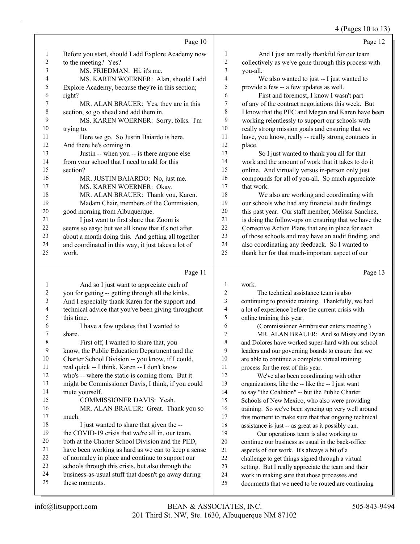## 4 (Pages 10 to 13)

|    | Page 10                                             |    | Page 12                                              |
|----|-----------------------------------------------------|----|------------------------------------------------------|
| 1  | Before you start, should I add Explore Academy now  | 1  | And I just am really thankful for our team           |
| 2  | to the meeting? Yes?                                | 2  | collectively as we've gone through this process with |
| 3  | MS. FRIEDMAN: Hi, it's me.                          | 3  | you-all.                                             |
| 4  | MS. KAREN WOERNER: Alan, should I add               | 4  | We also wanted to just -- I just wanted to           |
| 5  | Explore Academy, because they're in this section;   | 5  | provide a few -- a few updates as well.              |
| 6  | right?                                              | 6  | First and foremost, I know I wasn't part             |
| 7  | MR. ALAN BRAUER: Yes, they are in this              | 7  | of any of the contract negotiations this week. But   |
| 8  | section, so go ahead and add them in.               | 8  | I know that the PEC and Megan and Karen have been    |
| 9  | MS. KAREN WOERNER: Sorry, folks. I'm                | 9  | working relentlessly to support our schools with     |
| 10 | trying to.                                          | 10 | really strong mission goals and ensuring that we     |
| 11 | Here we go. So Justin Baiardo is here.              | 11 | have, you know, really -- really strong contracts in |
| 12 | And there he's coming in.                           | 12 | place.                                               |
| 13 | Justin -- when you -- is there anyone else          | 13 | So I just wanted to thank you all for that           |
| 14 | from your school that I need to add for this        | 14 | work and the amount of work that it takes to do it   |
| 15 | section?                                            | 15 | online. And virtually versus in-person only just     |
| 16 | MR. JUSTIN BAIARDO: No, just me.                    | 16 | compounds for all of you-all. So much appreciate     |
| 17 | MS. KAREN WOERNER: Okay.                            | 17 | that work.                                           |
| 18 | MR. ALAN BRAUER: Thank you, Karen.                  | 18 | We also are working and coordinating with            |
| 19 | Madam Chair, members of the Commission,             | 19 | our schools who had any financial audit findings     |
| 20 | good morning from Albuquerque.                      | 20 | this past year. Our staff member, Melissa Sanchez,   |
| 21 | I just want to first share that Zoom is             | 21 | is doing the follow-ups on ensuring that we have the |
| 22 | seems so easy; but we all know that it's not after  | 22 | Corrective Action Plans that are in place for each   |
| 23 | about a month doing this. And getting all together  | 23 | of those schools and may have an audit finding, and  |
| 24 | and coordinated in this way, it just takes a lot of | 24 | also coordinating any feedback. So I wanted to       |
| 25 | work.                                               | 25 | thank her for that much-important aspect of our      |
|    |                                                     |    |                                                      |

## Page 11

|    | Page 11                                             |    | Page 13                                              |
|----|-----------------------------------------------------|----|------------------------------------------------------|
| 1  | And so I just want to appreciate each of            | 1  | work.                                                |
| 2  | you for getting -- getting through all the kinks.   | 2  | The technical assistance team is also                |
| 3  | And I especially thank Karen for the support and    | 3  | continuing to provide training. Thankfully, we had   |
| 4  | technical advice that you've been giving throughout | 4  | a lot of experience before the current crisis with   |
| 5  | this time.                                          | 5  | online training this year.                           |
| 6  | I have a few updates that I wanted to               | 6  | (Commissioner Armbruster enters meeting.)            |
| 7  | share.                                              | 7  | MR. ALAN BRAUER: And so Missy and Dylan              |
| 8  | First off, I wanted to share that, you              | 8  | and Dolores have worked super-hard with our school   |
| 9  | know, the Public Education Department and the       | 9  | leaders and our governing boards to ensure that we   |
| 10 | Charter School Division -- you know, if I could,    | 10 | are able to continue a complete virtual training     |
| 11 | real quick -- I think, Karen -- I don't know        | 11 | process for the rest of this year.                   |
| 12 | who's -- where the static is coming from. But it    | 12 | We've also been coordinating with other              |
| 13 | might be Commissioner Davis, I think, if you could  | 13 | organizations, like the -- like the -- I just want   |
| 14 | mute yourself.                                      | 14 | to say "the Coalition" -- but the Public Charter     |
| 15 | <b>COMMISSIONER DAVIS: Yeah.</b>                    | 15 | Schools of New Mexico, who also were providing       |
| 16 | MR. ALAN BRAUER: Great. Thank you so                | 16 | training. So we've been syncing up very well around  |
| 17 | much.                                               | 17 | this moment to make sure that that ongoing technical |
| 18 | I just wanted to share that given the --            | 18 | assistance is just -- as great as it possibly can.   |
| 19 | the COVID-19 crisis that we're all in, our team,    | 19 | Our operations team is also working to               |
| 20 | both at the Charter School Division and the PED,    | 20 | continue our business as usual in the back-office    |
| 21 | have been working as hard as we can to keep a sense | 21 | aspects of our work. It's always a bit of a          |
| 22 | of normalcy in place and continue to support our    | 22 | challenge to get things signed through a virtual     |
| 23 | schools through this crisis, but also through the   | 23 | setting. But I really appreciate the team and their  |
| 24 | business-as-usual stuff that doesn't go away during | 24 | work in making sure that those processes and         |
| 25 | these moments.                                      | 25 | documents that we need to be routed are continuing   |
|    |                                                     |    |                                                      |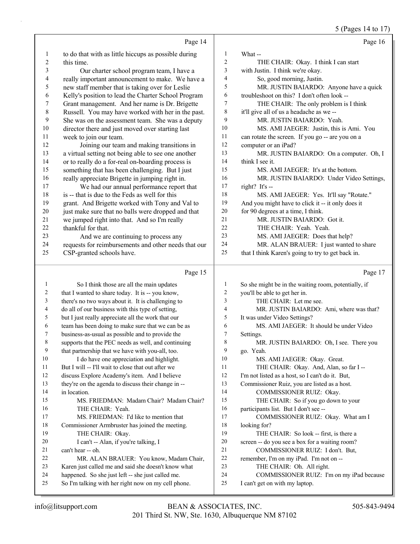5 (Pages 14 to 17)

|              | Page 14                                                                                                  |                | Page 16                                                                               |
|--------------|----------------------------------------------------------------------------------------------------------|----------------|---------------------------------------------------------------------------------------|
| $\mathbf{1}$ | to do that with as little hiccups as possible during                                                     | 1              | What --                                                                               |
| 2            | this time.                                                                                               | $\overline{2}$ | THE CHAIR: Okay. I think I can start                                                  |
| 3            | Our charter school program team, I have a                                                                | $\mathfrak{Z}$ | with Justin. I think we're okay.                                                      |
| 4            | really important announcement to make. We have a                                                         | $\overline{4}$ | So, good morning, Justin.                                                             |
| 5            | new staff member that is taking over for Leslie                                                          | 5              | MR. JUSTIN BAIARDO: Anyone have a quick                                               |
| 6            | Kelly's position to lead the Charter School Program                                                      | 6              | troubleshoot on this? I don't often look --                                           |
| 7            | Grant management. And her name is Dr. Brigette                                                           | 7              | THE CHAIR: The only problem is I think                                                |
| 8            | Russell. You may have worked with her in the past.                                                       | $\,8\,$        | it'll give all of us a headache as we --                                              |
| 9            | She was on the assessment team. She was a deputy                                                         | 9              | MR. JUSTIN BAIARDO: Yeah.                                                             |
| 10           | director there and just moved over starting last                                                         | 10             | MS. AMI JAEGER: Justin, this is Ami. You                                              |
| 11           | week to join our team.                                                                                   | 11             | can rotate the screen. If you go -- are you on a                                      |
| 12           | Joining our team and making transitions in                                                               | 12             | computer or an iPad?                                                                  |
| 13           | a virtual setting not being able to see one another                                                      | 13             | MR. JUSTIN BAIARDO: On a computer. Oh, I                                              |
| 14           | or to really do a for-real on-boarding process is                                                        | 14             | think I see it.                                                                       |
| 15           | something that has been challenging. But I just                                                          | 15             | MS. AMI JAEGER: It's at the bottom.                                                   |
| 16           | really appreciate Brigette in jumping right in.                                                          | 16             | MR. JUSTIN BAIARDO: Under Video Settings,                                             |
| 17           | We had our annual performance report that                                                                | 17             | right? It's --                                                                        |
| 18           | is -- that is due to the Feds as well for this                                                           | 18             | MS. AMI JAEGER: Yes. It'll say "Rotate."                                              |
| 19           | grant. And Brigette worked with Tony and Val to                                                          | 19             | And you might have to click it -- it only does it                                     |
| 20           | just make sure that no balls were dropped and that                                                       | 20             | for 90 degrees at a time, I think.                                                    |
| 21           | we jumped right into that. And so I'm really                                                             | 21             | MR. JUSTIN BAIARDO: Got it.                                                           |
| 22           | thankful for that.                                                                                       | 22             | THE CHAIR: Yeah. Yeah.                                                                |
| 23           | And we are continuing to process any                                                                     | 23             | MS. AMI JAEGER: Does that help?                                                       |
| 24           | requests for reimbursements and other needs that our                                                     | 24             | MR. ALAN BRAUER: I just wanted to share                                               |
| 25           | CSP-granted schools have.                                                                                | 25             | that I think Karen's going to try to get back in.                                     |
|              |                                                                                                          |                |                                                                                       |
|              | Page 15                                                                                                  |                | Page 17                                                                               |
| 1            |                                                                                                          | 1              |                                                                                       |
| 2            | So I think those are all the main updates                                                                | $\overline{c}$ | So she might be in the waiting room, potentially, if<br>you'll be able to get her in. |
| 3            | that I wanted to share today. It is -- you know,                                                         | 3              | THE CHAIR: Let me see.                                                                |
| 4            | there's no two ways about it. It is challenging to                                                       | 4              |                                                                                       |
| 5            | do all of our business with this type of setting,                                                        | 5              | MR. JUSTIN BAIARDO: Ami, where was that?<br>It was under Video Settings?              |
| 6            | but I just really appreciate all the work that our                                                       | 6              | MS. AMI JAEGER: It should be under Video                                              |
| 7            | team has been doing to make sure that we can be as<br>business-as-usual as possible and to provide the   | 7              | Settings.                                                                             |
| 8            | supports that the PEC needs as well, and continuing                                                      | 8              | MR. JUSTIN BAIARDO: Oh, I see. There you                                              |
| 9            | that partnership that we have with you-all, too.                                                         | 9              | go. Yeah.                                                                             |
| 10           | I do have one appreciation and highlight.                                                                | 10             | MS. AMI JAEGER: Okay. Great.                                                          |
| 11           | But I will -- I'll wait to close that out after we                                                       | 11             | THE CHAIR: Okay. And, Alan, so far I --                                               |
| 12           | discuss Explore Academy's item. And I believe                                                            | 12             | I'm not listed as a host, so I can't do it. But,                                      |
| 13           | they're on the agenda to discuss their change in --                                                      | 13             | Commissioner Ruiz, you are listed as a host.                                          |
| 14           | in location.                                                                                             | 14             | COMMISSIONER RUIZ: Okay.                                                              |
| 15           | MS. FRIEDMAN: Madam Chair? Madam Chair?                                                                  | 15             | THE CHAIR: So if you go down to your                                                  |
| 16           | THE CHAIR: Yeah.                                                                                         | 16             | participants list. But I don't see --                                                 |
| 17           | MS. FRIEDMAN: I'd like to mention that                                                                   | 17             | COMMISSIONER RUIZ: Okay. What am I                                                    |
| 18           | Commissioner Armbruster has joined the meeting.                                                          | 18             | looking for?                                                                          |
| 19           | THE CHAIR: Okay.                                                                                         | 19             | THE CHAIR: So look -- first, is there a                                               |
| 20           | I can't -- Alan, if you're talking, I                                                                    | 20             | screen -- do you see a box for a waiting room?                                        |
| 21           | can't hear -- oh.                                                                                        | 21             | COMMISSIONER RUIZ: I don't. But,                                                      |
| 22           | MR. ALAN BRAUER: You know, Madam Chair,                                                                  | 22             | remember, I'm on my iPad. I'm not on --                                               |
| 23           | Karen just called me and said she doesn't know what                                                      | 23             | THE CHAIR: Oh. All right.                                                             |
| 24<br>25     | happened. So she just left -- she just called me.<br>So I'm talking with her right now on my cell phone. | 24<br>25       | COMMISSIONER RUIZ: I'm on my iPad because<br>I can't get on with my laptop.           |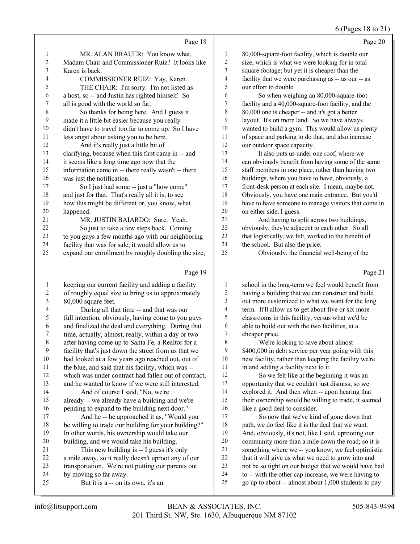### 6 (Pages 18 to 21)

|                  |                                                                                                          |                         | $0(1 \text{ gives } 10 \text{ to } 2)$                                                                   |
|------------------|----------------------------------------------------------------------------------------------------------|-------------------------|----------------------------------------------------------------------------------------------------------|
|                  | Page 18                                                                                                  |                         | Page 20                                                                                                  |
| 1                | MR. ALAN BRAUER: You know what,                                                                          | $\mathbf{1}$            | 80,000-square-foot facility, which is double our                                                         |
| 2                | Madam Chair and Commissioner Ruiz? It looks like                                                         | 2                       | size, which is what we were looking for in total                                                         |
| 3                | Karen is back.                                                                                           | 3                       | square footage; but yet it is cheaper than the                                                           |
| 4                | COMMISSIONER RUIZ: Yay, Karen.                                                                           | 4                       | facility that we were purchasing as -- as our -- as                                                      |
| 5                | THE CHAIR: I'm sorry. I'm not listed as                                                                  | 5                       | our effort to double.                                                                                    |
| 6                | a host, so -- and Justin has righted himself. So                                                         | 6                       | So when weighing an 80,000-square-foot                                                                   |
| 7                | all is good with the world so far.                                                                       | $\boldsymbol{7}$        | facility and a 40,000-square-foot facility, and the                                                      |
| $\,$ $\,$        | So thanks for being here. And I guess it                                                                 | 8                       | 80,000 one is cheaper -- and it's got a better                                                           |
| 9                | made it a little bit easier because you really                                                           | 9                       | layout. It's on more land. So we have always                                                             |
| 10               | didn't have to travel too far to come up. So I have                                                      | 10                      | wanted to build a gym. This would allow us plenty                                                        |
| 11               | less angst about asking you to be here.                                                                  | 11                      | of space and parking to do that, and also increase                                                       |
| 12               | And it's really just a little bit of                                                                     | 12                      | our outdoor space capacity.                                                                              |
| 13               | clarifying, because when this first came in -- and                                                       | 13                      | It also puts us under one roof, where we                                                                 |
| 14               | it seems like a long time ago now that the                                                               | 14                      | can obviously benefit from having some of the same                                                       |
| 15               | information came in -- there really wasn't -- there                                                      | 15                      | staff members in one place, rather than having two                                                       |
| 16               | was just the notification.                                                                               | 16                      | buildings, where you have to have, obviously, a                                                          |
| 17               | So I just had some -- just a "how come"                                                                  | 17                      | front-desk person at each site. I mean, maybe not.                                                       |
| 18               | and just for that. That's really all it is, to see                                                       | 18                      | Obviously, you have one main entrance. But you'd                                                         |
| 19               | how this might be different or, you know, what                                                           | 19                      | have to have someone to manage visitors that come in                                                     |
| 20               | happened.                                                                                                | $20\,$                  | on either side, I guess.                                                                                 |
| 21               | MR. JUSTIN BAIARDO: Sure. Yeah.                                                                          | 21                      | And having to split across two buildings,                                                                |
| 22               | So just to take a few steps back. Coming                                                                 | $22\,$<br>$23\,$        | obviously, they're adjacent to each other. So all                                                        |
| 23<br>24         | to you guys a few months ago with our neighboring                                                        | 24                      | that logistically, we felt, worked to the benefit of                                                     |
| 25               | facility that was for sale, it would allow us to<br>expand our enrollment by roughly doubling the size,  | 25                      | the school. But also the price.<br>Obviously, the financial well-being of the                            |
|                  |                                                                                                          |                         |                                                                                                          |
|                  | Page 19                                                                                                  |                         | Page 21                                                                                                  |
| $\mathbf{1}$     | keeping our current facility and adding a facility                                                       | 1                       | school in the long-term we feel would benefit from                                                       |
| $\boldsymbol{2}$ | of roughly equal size to bring us to approximately                                                       | $\overline{\mathbf{c}}$ | having a building that we can construct and build                                                        |
| 3                | 80,000 square feet.                                                                                      | 3                       | out more customized to what we want for the long                                                         |
| 4                | During all that time -- and that was our                                                                 | 4                       | term. It'll allow us to get about five or six more                                                       |
| 5                | full intention, obviously, having come to you guys                                                       | 5                       | classrooms in this facility, versus what we'd be                                                         |
| 6                | and finalized the deal and everything. During that                                                       | 6                       | able to build out with the two facilities, at a                                                          |
| 7                | time, actually, almost, really, within a day or two                                                      | 7                       | cheaper price.                                                                                           |
| $\,8\,$          | after having come up to Santa Fe, a Realtor for a                                                        | 8                       | We're looking to save about almost                                                                       |
| 9                | facility that's just down the street from us that we                                                     | 9                       | \$400,000 in debt service per year going with this                                                       |
| 10               | had looked at a few years ago reached out, out of                                                        | $10\,$                  | new facility, rather than keeping the facility we're                                                     |
| 11               | the blue, and said that his facility, which was --                                                       | 11                      | in and adding a facility next to it.                                                                     |
| 12               | which was under contract had fallen out of contract,                                                     | 12                      | So we felt like at the beginning it was an                                                               |
| 13               | and he wanted to know if we were still interested.                                                       | 13                      | opportunity that we couldn't just dismiss; so we                                                         |
| 14               | And of course I said, "No, we're                                                                         | 14                      | explored it. And then when -- upon hearing that                                                          |
| 15               | already -- we already have a building and we're                                                          | 15                      | their ownership would be willing to trade, it seemed                                                     |
| 16               | pending to expand to the building next door."                                                            | 16<br>17                | like a good deal to consider.                                                                            |
| 17               | And he -- he approached it as, "Would you                                                                |                         | So now that we've kind of gone down that                                                                 |
| 18               | be willing to trade our building for your building?"                                                     | 18<br>19                | path, we do feel like it is the deal that we want.                                                       |
| 19               | In other words, his ownership would take our                                                             | $20\,$                  | And, obviously, it's not, like I said, uprooting our                                                     |
| 20<br>21         | building, and we would take his building.                                                                | 21                      | community more than a mile down the road; so it is                                                       |
| 22               | This new building is -- I guess it's only                                                                | $22\,$                  | something where we -- you know, we feel optimistic<br>that it will give us what we need to grow into and |
| 23               | a mile away, so it really doesn't uproot any of our<br>transportation. We're not putting our parents out | $23\,$                  | not be so tight on our budget that we would have had                                                     |
| 24               | by moving so far away.                                                                                   | 24                      | to -- with the other cap increase, we were having to                                                     |
| 25               | But it is a -- on its own, it's an                                                                       | $25\,$                  | go up to about -- almost about 1,000 students to pay                                                     |
|                  |                                                                                                          |                         |                                                                                                          |

go up to about -- almost about 1,000 students to pay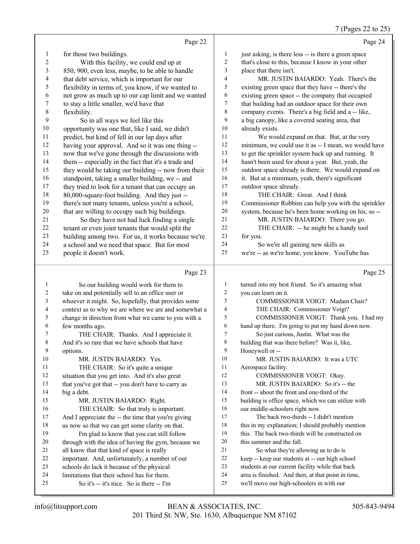## 7 (Pages 22 to 25)

|                | Page 22                                                                                           |                  | Page 24                                                                                               |
|----------------|---------------------------------------------------------------------------------------------------|------------------|-------------------------------------------------------------------------------------------------------|
| $\mathbf{1}$   | for those two buildings.                                                                          | 1                | just asking, is there less -- is there a green space                                                  |
| $\overline{c}$ | With this facility, we could end up at                                                            | $\overline{2}$   | that's close to this, because I know in your other                                                    |
| 3              | 850, 900, even less, maybe, to be able to handle                                                  | 3                | place that there isn't.                                                                               |
| 4              | that debt service, which is important for our                                                     | $\overline{4}$   | MR. JUSTIN BAIARDO: Yeah. There's the                                                                 |
| 5              | flexibility in terms of, you know, if we wanted to                                                | 5                | existing green space that they have -- there's the                                                    |
| 6              | not grow as much up to our cap limit and we wanted                                                | 6                | existing green space -- the company that occupied                                                     |
| 7              | to stay a little smaller, we'd have that                                                          | 7                | that building had an outdoor space for their own                                                      |
| 8              | flexibility.                                                                                      | $\,$ 8 $\,$      | company events. There's a big field and a -- like,                                                    |
| 9              | So in all ways we feel like this                                                                  | 9                | a big canopy, like a covered seating area, that                                                       |
| 10             | opportunity was one that, like I said, we didn't                                                  | 10               | already exists.                                                                                       |
| 11             | predict, but kind of fell in our lap days after                                                   | 11               | We would expand on that. But, at the very                                                             |
| 12             | having your approval. And so it was one thing --                                                  | 12               | minimum, we could use it as -- I mean, we would have                                                  |
| 13             | now that we've gone through the discussions with                                                  | 13               | to get the sprinkler system back up and running. It                                                   |
| 14             | them -- especially in the fact that it's a trade and                                              | 14               | hasn't been used for about a year. But, yeah, the                                                     |
| 15             | they would be taking our building -- now from their                                               | 15               | outdoor space already is there. We would expand on                                                    |
| 16             | standpoint, taking a smaller building, we -- and                                                  | 16               | it. But at a minimum, yeah, there's significant                                                       |
| 17             | they tried to look for a tenant that can occupy an                                                | 17               | outdoor space already.                                                                                |
| 18             | 80,000-square-foot building. And they just --                                                     | 18               | THE CHAIR: Great. And I think                                                                         |
| 19             | there's not many tenants, unless you're a school,                                                 | 19               | Commissioner Robbins can help you with the sprinkler                                                  |
| 20             | that are willing to occupy such big buildings.                                                    | 20               | system, because he's been home working on his; so --                                                  |
| 21             | So they have not had luck finding a single                                                        | 21               | MR. JUSTIN BAIARDO: There you go.                                                                     |
| 22             | tenant or even joint tenants that would split the                                                 | 22               | THE CHAIR: -- he might be a handy tool                                                                |
| 23             | building among two. For us, it works because we're                                                | 23               | for you.                                                                                              |
| 24             | a school and we need that space. But for most                                                     | 24<br>25         | So we're all gaining new skills as                                                                    |
| 25             | people it doesn't work.                                                                           |                  | we're -- as we're home, you know. YouTube has                                                         |
|                |                                                                                                   |                  |                                                                                                       |
|                | Page 23                                                                                           |                  | Page 25                                                                                               |
| 1              | So our building would work for them to                                                            | 1                | turned into my best friend. So it's amazing what                                                      |
| $\overline{c}$ | take on and potentially sell to an office user or                                                 | $\sqrt{2}$       | you can learn on it.                                                                                  |
| 3              | whoever it might. So, hopefully, that provides some                                               | 3                | COMMISSIONER VOIGT: Madam Chair?                                                                      |
| 4              | context as to why we are where we are and somewhat a                                              | 4                | THE CHAIR: Commissioner Voigt?                                                                        |
| 5              | change in direction from what we came to you with a                                               | 5                | COMMISSIONER VOIGT: Thank you. I had my                                                               |
| 6              | few months ago.                                                                                   | 6                | hand up there. I'm going to put my hand down now.                                                     |
| 7              | THE CHAIR: Thanks. And I appreciate it.                                                           | $\overline{7}$   | So just curious, Justin. What was the                                                                 |
| 8              | And it's so rare that we have schools that have                                                   | 8                | building that was there before? Was it, like,                                                         |
| 9              | options.                                                                                          | 9                | Honeywell or --                                                                                       |
| 10             | MR. JUSTIN BAIARDO: Yes.                                                                          | 10               | MR. JUSTIN BAIARDO: It was a UTC                                                                      |
| 11             | THE CHAIR: So it's quite a unique                                                                 | 11               | Aerospace facility.                                                                                   |
| 12             | situation that you get into. And it's also great                                                  | 12               | COMMISSIONER VOIGT: Okay.                                                                             |
| 13             | that you've got that -- you don't have to carry as                                                | 13               | MR. JUSTIN BAIARDO: So it's -- the                                                                    |
| 14             | big a debt.                                                                                       | 14               | front -- about the front and one-third of the                                                         |
| 15             | MR. JUSTIN BAIARDO: Right.                                                                        | 15               | building is office space, which we can utilize with                                                   |
| 16             | THE CHAIR: So that truly is important.                                                            | 16<br>17         | our middle-schoolers right now.                                                                       |
| 17<br>18       | And I appreciate the -- the time that you're giving                                               | 18               | The back two-thirds -- I didn't mention                                                               |
| 19             | us now so that we can get some clarity on that.                                                   | 19               | this in my explanation; I should probably mention<br>this. The back two-thirds will be constructed on |
| $20\,$         | I'm glad to know that you can still follow<br>through with the idea of having the gym, because we | 20               | this summer and the fall.                                                                             |
| 21             | all know that that kind of space is really                                                        | 21               | So what they're allowing us to do is                                                                  |
| $22\,$         | important. And, unfortunately, a number of our                                                    | 22               | keep -- keep our students at -- our high school                                                       |
| 23             | schools do lack it because of the physical                                                        | 23               | students at our current facility while that back                                                      |
| $24\,$<br>25   | limitations that their school has for them.<br>So it's -- it's nice. So is there -- I'm           | $24\,$<br>$25\,$ | area is finished. And then, at that point in time,<br>we'll move our high-schoolers in with our       |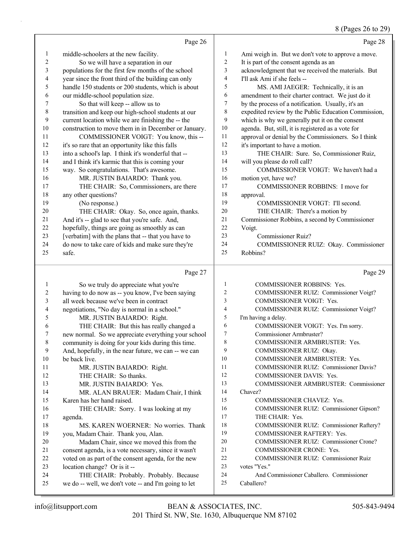## 8 (Pages 26 to 29)

|                  | Page 26                                                                                        |                | Page 28                                                |
|------------------|------------------------------------------------------------------------------------------------|----------------|--------------------------------------------------------|
| $\mathbf{1}$     | middle-schoolers at the new facility.                                                          | $\mathbf{1}$   | Ami weigh in. But we don't vote to approve a move.     |
| $\overline{c}$   | So we will have a separation in our                                                            | $\overline{c}$ | It is part of the consent agenda as an                 |
| 3                | populations for the first few months of the school                                             | 3              | acknowledgment that we received the materials. But     |
| 4                | year since the front third of the building can only                                            | $\overline{4}$ | I'll ask Ami if she feels --                           |
| 5                | handle 150 students or 200 students, which is about                                            | 5              | MS. AMI JAEGER: Technically, it is an                  |
| 6                | our middle-school population size.                                                             | 6              | amendment to their charter contract. We just do it     |
| 7                | So that will keep -- allow us to                                                               | 7              | by the process of a notification. Usually, it's an     |
| $\,$ $\,$        | transition and keep our high-school students at our                                            | $\,8\,$        | expedited review by the Public Education Commission,   |
| 9                | current location while we are finishing the -- the                                             | 9              | which is why we generally put it on the consent        |
| 10               | construction to move them in in December or January.                                           | $10\,$         | agenda. But, still, it is registered as a vote for     |
| 11               |                                                                                                | 11             |                                                        |
|                  | COMMISSIONER VOIGT: You know, this --                                                          | 12             | approval or denial by the Commissioners. So I think    |
| 12               | it's so rare that an opportunity like this falls                                               | 13             | it's important to have a motion.                       |
| 13               | into a school's lap. I think it's wonderful that --                                            |                | THE CHAIR: Sure. So, Commissioner Ruiz,                |
| 14               | and I think it's karmic that this is coming your                                               | 14             | will you please do roll call?                          |
| 15               | way. So congratulations. That's awesome.                                                       | 15             | COMMISSIONER VOIGT: We haven't had a                   |
| 16               | MR. JUSTIN BAIARDO: Thank you.                                                                 | 16             | motion yet, have we?                                   |
| 17               | THE CHAIR: So, Commissioners, are there                                                        | 17             | COMMISSIONER ROBBINS: I move for                       |
| 18               | any other questions?                                                                           | 18             | approval.                                              |
| 19               | (No response.)                                                                                 | 19             | COMMISSIONER VOIGT: I'll second.                       |
| 20               | THE CHAIR: Okay. So, once again, thanks.                                                       | 20             | THE CHAIR: There's a motion by                         |
| 21               | And it's -- glad to see that you're safe. And,                                                 | 21             | Commissioner Robbins, a second by Commissioner         |
| 22               | hopefully, things are going as smoothly as can                                                 | 22             | Voigt.                                                 |
| 23               | [verbatim] with the plans that -- that you have to                                             | 23             | <b>Commissioner Ruiz?</b>                              |
| 24               | do now to take care of kids and make sure they're                                              | 24             | COMMISSIONER RUIZ: Okay. Commissioner                  |
| 25               | safe.                                                                                          | 25             | Robbins?                                               |
|                  |                                                                                                |                |                                                        |
|                  |                                                                                                |                | Page 29                                                |
|                  | Page 27                                                                                        |                |                                                        |
| $\mathbf{1}$     | So we truly do appreciate what you're                                                          | $\mathbf{1}$   | COMMISSIONER ROBBINS: Yes.                             |
| $\overline{c}$   | having to do now as -- you know, I've been saying                                              | $\sqrt{2}$     | COMMISSIONER RUIZ: Commissioner Voigt?                 |
| 3                | all week because we've been in contract                                                        | 3              | COMMISSIONER VOIGT: Yes.                               |
| 4                | negotiations, "No day is normal in a school."                                                  | $\overline{4}$ | COMMISSIONER RUIZ: Commissioner Voigt?                 |
| 5                | MR. JUSTIN BAIARDO: Right.                                                                     | 5              | I'm having a delay.                                    |
| 6                | THE CHAIR: But this has really changed a                                                       | 6              | COMMISSIONER VOIGT: Yes. I'm sorry.                    |
| $\boldsymbol{7}$ | new normal. So we appreciate everything your school                                            | $\overline{7}$ | Commissioner Armbruster?                               |
| 8                | community is doing for your kids during this time.                                             | 8              | COMMISSIONER ARMBRUSTER: Yes.                          |
| 9                | And, hopefully, in the near future, we can -- we can                                           | 9              | COMMISSIONER RUIZ: Okay.                               |
| 10               | be back live.                                                                                  | 10             | COMMISSIONER ARMBRUSTER: Yes.                          |
| 11               | MR. JUSTIN BAIARDO: Right.                                                                     | 11             | COMMISSIONER RUIZ: Commissioner Davis?                 |
| 12               | THE CHAIR: So thanks.                                                                          | 12             | COMMISSIONER DAVIS: Yes.                               |
| 13               | MR. JUSTIN BAIARDO: Yes.                                                                       | 13             | COMMISSIONER ARMBRUSTER: Commissioner                  |
| 14               | MR. ALAN BRAUER: Madam Chair, I think                                                          | 14             | Chavez?                                                |
| 15               | Karen has her hand raised.                                                                     | 15             | COMMISSIONER CHAVEZ: Yes.                              |
| 16               | THE CHAIR: Sorry. I was looking at my                                                          | 16             | COMMISSIONER RUIZ: Commissioner Gipson?                |
| 17               | agenda.                                                                                        | 17             | THE CHAIR: Yes.                                        |
| 18               | MS. KAREN WOERNER: No worries. Thank                                                           | 18             | COMMISSIONER RUIZ: Commissioner Raftery?               |
| 19               | you, Madam Chair. Thank you, Alan.                                                             | 19             | COMMISSIONER RAFTERY: Yes.                             |
| 20               | Madam Chair, since we moved this from the                                                      | 20             | COMMISSIONER RUIZ: Commissioner Crone?                 |
| 21               | consent agenda, is a vote necessary, since it wasn't                                           | 21             | COMMISSIONER CRONE: Yes.                               |
| 22               | voted on as part of the consent agenda, for the new                                            | 22             | COMMISSIONER RUIZ: Commissioner Ruiz                   |
| 23               | location change? Or is it --                                                                   | 23             | votes "Yes."                                           |
| 24<br>25         | THE CHAIR: Probably. Probably. Because<br>we do -- well, we don't vote -- and I'm going to let | 24<br>25       | And Commissioner Caballero. Commissioner<br>Caballero? |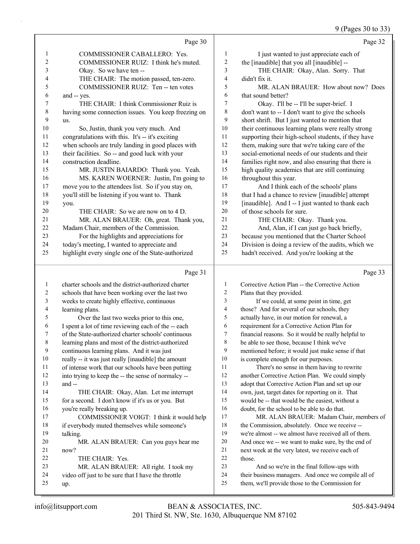|              |                                                     |                          | 9 (Pages 30 to 33)                                   |
|--------------|-----------------------------------------------------|--------------------------|------------------------------------------------------|
|              | Page 30                                             |                          | Page 32                                              |
| $\mathbf{1}$ | COMMISSIONER CABALLERO: Yes.                        | $\mathbf{1}$             | I just wanted to just appreciate each of             |
| 2            | COMMISSIONER RUIZ: I think he's muted.              | $\boldsymbol{2}$         | the [inaudible] that you all [inaudible] --          |
| 3            | Okay. So we have ten --                             | 3                        | THE CHAIR: Okay, Alan. Sorry. That                   |
| 4            | THE CHAIR: The motion passed, ten-zero.             | $\overline{\mathcal{L}}$ | didn't fix it.                                       |
| 5            | COMMISSIONER RUIZ: Ten -- ten votes                 | 5                        | MR. ALAN BRAUER: How about now? Does                 |
| 6            | and -- yes.                                         | 6                        | that sound better?                                   |
| 7            | THE CHAIR: I think Commissioner Ruiz is             | 7                        | Okay. I'll be -- I'll be super-brief. I              |
| $\,$ 8 $\,$  | having some connection issues. You keep freezing on | $\,$ $\,$                | don't want to -- I don't want to give the schools    |
| 9            | us.                                                 | 9                        | short shrift. But I just wanted to mention that      |
| $10\,$       | So, Justin, thank you very much. And                | $10\,$                   | their continuous learning plans were really strong   |
| 11           | congratulations with this. It's -- it's exciting    | $11\,$                   | supporting their high-school students, if they have  |
| 12           | when schools are truly landing in good places with  | 12                       | them, making sure that we're taking care of the      |
| 13           | their facilities. So -- and good luck with your     | 13                       | social-emotional needs of our students and their     |
| 14           | construction deadline.                              | 14                       | families right now, and also ensuring that there is  |
| 15           | MR. JUSTIN BAIARDO: Thank you. Yeah.                | 15                       | high quality academics that are still continuing     |
| 16           | MS. KAREN WOERNER: Justin, I'm going to             | 16                       | throughout this year.                                |
| 17           | move you to the attendees list. So if you stay on,  | 17                       | And I think each of the schools' plans               |
| 18           | you'll still be listening if you want to. Thank     | 18                       | that I had a chance to review [inaudible] attempt    |
| 19           | you.                                                | 19                       | [inaudible]. And I -- I just wanted to thank each    |
| 20           | THE CHAIR: So we are now on to 4 D.                 | $20\,$                   | of those schools for sure.                           |
| 21           | MR. ALAN BRAUER: Oh, great. Thank you,              | 21                       | THE CHAIR: Okay. Thank you.                          |
| $22\,$       | Madam Chair, members of the Commission.             | 22                       | And, Alan, if I can just go back briefly,            |
| 23           | For the highlights and appreciations for            | 23                       | because you mentioned that the Charter School        |
| 24           | today's meeting, I wanted to appreciate and         | 24                       | Division is doing a review of the audits, which we   |
| 25           | highlight every single one of the State-authorized  | 25                       | hadn't received. And you're looking at the           |
|              | Page 31                                             |                          | Page 33                                              |
| $\mathbf{1}$ | charter schools and the district-authorized charter | $\mathbf{1}$             | Corrective Action Plan -- the Corrective Action      |
| 2            | schools that have been working over the last two    | 2                        | Plans that they provided.                            |
| 3            | weeks to create highly effective, continuous        | 3                        | If we could, at some point in time, get              |
| 4            | learning plans.                                     | 4                        | those? And for several of our schools, they          |
| 5            | Over the last two weeks prior to this one,          | 5                        | actually have, in our motion for renewal, a          |
| 6            | I spent a lot of time reviewing each of the -- each | 6                        | requirement for a Corrective Action Plan for         |
| 7            | of the State-authorized charter schools' continuous | $\boldsymbol{7}$         | financial reasons. So it would be really helpful to  |
| 8            | learning plans and most of the district-authorized  | 8                        | be able to see those, because I think we've          |
| 9            | continuous learning plans. And it was just          | 9                        | mentioned before; it would just make sense if that   |
| 10           | really -- it was just really [inaudible] the amount | $10\,$                   | is complete enough for our purposes.                 |
| 11           | of intense work that our schools have been putting  | 11                       | There's no sense in them having to rewrite           |
| 12           | into trying to keep the -- the sense of normalcy -- | 12                       | another Corrective Action Plan. We could simply      |
| 13           | and --                                              | 13                       | adopt that Corrective Action Plan and set up our     |
| 14           | THE CHAIR: Okay, Alan. Let me interrupt             | 14                       | own, just, target dates for reporting on it. That    |
| 15           | for a second. I don't know if it's us or you. But   | 15                       | would be -- that would be the easiest, without a     |
| 16           | you're really breaking up.                          | 16                       | doubt, for the school to be able to do that.         |
| 17           | COMMISSIONER VOIGT: I think it would help           | 17                       | MR. ALAN BRAUER: Madam Chair, members of             |
| 18           | if everybody muted themselves while someone's       | 18                       | the Commission, absolutely. Once we receive --       |
| 19           | talking.                                            | 19                       | we're almost -- we almost have received all of them. |
| 20           | MR. ALAN BRAUER: Can you guys hear me               | 20                       | And once we -- we want to make sure, by the end of   |
| 21           | now?                                                | 21<br>$22\,$             | next week at the very latest, we receive each of     |
| 22           | THE CHAIR: Yes.                                     |                          | those.                                               |

23 And so we're in the final follow-ups with their business managers. And once we compile all of them, we'll provide those to the Commission for

up.

23 MR. ALAN BRAUER: All right. I took my video off just to be sure that I have the throttle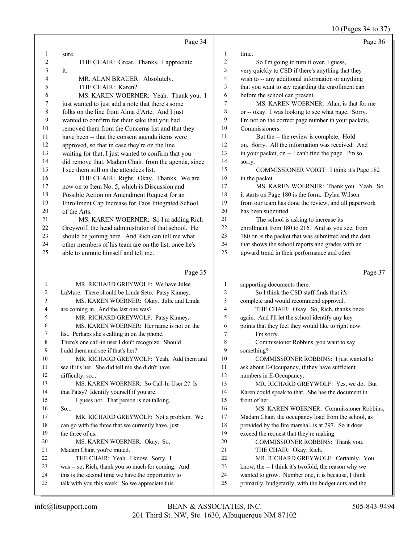10 (Pages 34 to 37)

|          | Page 34                                                                                              |                | Page 36                                                                                                    |
|----------|------------------------------------------------------------------------------------------------------|----------------|------------------------------------------------------------------------------------------------------------|
| 1        | sure.                                                                                                | 1              | time.                                                                                                      |
| 2        | THE CHAIR: Great. Thanks. I appreciate                                                               | 2              | So I'm going to turn it over, I guess,                                                                     |
| 3        | it.                                                                                                  | 3              | very quickly to CSD if there's anything that they                                                          |
| 4        | MR. ALAN BRAUER: Absolutely.                                                                         | 4              | wish to -- any additional information or anything                                                          |
| 5        | THE CHAIR: Karen?                                                                                    | 5              | that you want to say regarding the enrollment cap                                                          |
| 6        | MS. KAREN WOERNER: Yeah. Thank you. I                                                                | 6              | before the school can present.                                                                             |
| 7        | just wanted to just add a note that there's some                                                     | $\overline{7}$ | MS. KAREN WOERNER: Alan, is that for me                                                                    |
| 8        | folks on the line from Alma d'Arte. And I just                                                       | 8              | or -- okay. I was looking to see what page. Sorry.                                                         |
| 9        | wanted to confirm for their sake that you had                                                        | 9              | I'm not on the correct page number in your packets,                                                        |
| 10       | removed them from the Concerns list and that they                                                    | 10             | Commissioners.                                                                                             |
| 11       | have been -- that the consent agenda items were                                                      | 11             | But the -- the review is complete. Hold                                                                    |
| 12       | approved, so that in case they're on the line                                                        | 12             | on. Sorry. All the information was received. And                                                           |
| 13       | waiting for that, I just wanted to confirm that you                                                  | 13             | in your packet, on -- I can't find the page. I'm so                                                        |
| 14       | did remove that, Madam Chair, from the agenda, since                                                 | 14             | sorry.                                                                                                     |
| 15       | I see them still on the attendees list.                                                              | 15             | COMMISSIONER VOIGT: I think it's Page 182                                                                  |
| 16       | THE CHAIR: Right. Okay. Thanks. We are                                                               | 16             | in the packet.                                                                                             |
| 17       | now on to Item No. 5, which is Discussion and                                                        | 17             | MS. KAREN WOERNER: Thank you. Yeah. So                                                                     |
| 18       | Possible Action on Amendment Request for an                                                          | 18             | it starts on Page 180 is the form. Dylan Wilson                                                            |
| 19       | Enrollment Cap Increase for Taos Integrated School                                                   | 19             | from our team has done the review, and all paperwork                                                       |
| 20       | of the Arts.                                                                                         | 20             | has been submitted.                                                                                        |
| 21       | MS. KAREN WOERNER: So I'm adding Rich                                                                | 21             | The school is asking to increase its                                                                       |
| 22       | Greywolf, the head administrator of that school. He                                                  | 22             | enrollment from 180 to 216. And as you see, from                                                           |
| 23       | should be joining here. And Rich can tell me what                                                    | 23             | 180 on is the packet that was submitted and the data                                                       |
| 24       | other members of his team are on the list, once he's                                                 | $24\,$         | that shows the school reports and grades with an                                                           |
| 25       | able to unmute himself and tell me.                                                                  | 25             | upward trend in their performance and other                                                                |
|          | Page 35                                                                                              |                | Page 37                                                                                                    |
| 1        | MR. RICHARD GREYWOLF: We have Julee                                                                  | $\mathbf{1}$   | supporting documents there.                                                                                |
| 2        | LaMure. There should be Linda Seto. Patsy Kinney.                                                    | $\overline{c}$ |                                                                                                            |
| 3        | MS. KAREN WOERNER: Okay. Julie and Linda                                                             |                | So I think the CSD staff finds that it's                                                                   |
|          |                                                                                                      | 3              | complete and would recommend approval.                                                                     |
| 4        | are coming in. And the last one was?                                                                 | 4              | THE CHAIR: Okay. So, Rich, thanks once                                                                     |
| 5        | MR. RICHARD GREYWOLF: Patsy Kinney.                                                                  | 5              | again. And I'll let the school identify any key                                                            |
| 6        | MS. KAREN WOERNER: Her name is not on the                                                            | 6              | points that they feel they would like to right now.                                                        |
| 7        | list. Perhaps she's calling in on the phone.                                                         | 7              | I'm sorry.                                                                                                 |
| 8        | There's one call-in user I don't recognize. Should                                                   | 8              | Commissioner Robbins, you want to say                                                                      |
| 9        | I add them and see if that's her?                                                                    | 9              | something?                                                                                                 |
| 10       | MR. RICHARD GREYWOLF: Yeah. Add them and                                                             | 10             | COMMISSIONER ROBBINS: I just wanted to                                                                     |
| 11       | see if it's her. She did tell me she didn't have                                                     | 11             | ask about E-Occupancy, if they have sufficient                                                             |
| 12       | difficulty; so                                                                                       | 12             | numbers in E-Occupancy.                                                                                    |
| 13       | MS. KAREN WOERNER: So Call-In User 2? Is                                                             | 13             | MR. RICHARD GREYWOLF: Yes, we do. But                                                                      |
| 14       | that Patsy? Identify yourself if you are.                                                            | 14             | Karen could speak to that. She has the document in                                                         |
| 15       | I guess not. That person is not talking.                                                             | 15             | front of her.                                                                                              |
| 16       | So                                                                                                   | 16             | MS. KAREN WOERNER: Commissioner Robbins,                                                                   |
| 17       | MR. RICHARD GREYWOLF: Not a problem. We                                                              | 17             | Madam Chair, the occupancy load from the school, as                                                        |
| 18       | can go with the three that we currently have, just                                                   | 18             | provided by the fire marshal, is at 297. So it does                                                        |
| 19       | the three of us.                                                                                     | 19             | exceed the request that they're making.                                                                    |
| 20       | MS. KAREN WOERNER: Okay. So,                                                                         | 20             | COMMISSIONER ROBBINS: Thank you.                                                                           |
| 21       | Madam Chair, you're muted.                                                                           | 21             | THE CHAIR: Okay, Rich.                                                                                     |
| 22       | THE CHAIR: Yeah. I know. Sorry. I                                                                    | 22             | MR. RICHARD GREYWOLF: Certainly. You                                                                       |
| 23       | was -- so, Rich, thank you so much for coming. And                                                   | 23             | know, the -- I think it's twofold, the reason why we                                                       |
| 24<br>25 | this is the second time we have the opportunity to<br>talk with you this week. So we appreciate this | 24<br>25       | wanted to grow. Number one, it is because, I think<br>primarily, budgetarily, with the budget cuts and the |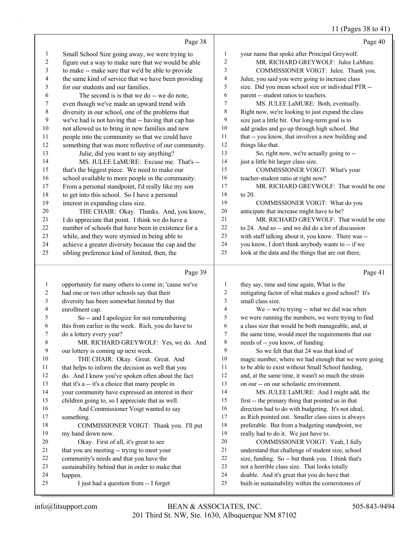## 11 (Pages 38 to 41)

|                  | Page 38                                                     |                | Page 40                                                                                             |
|------------------|-------------------------------------------------------------|----------------|-----------------------------------------------------------------------------------------------------|
| $\mathbf{1}$     | Small School Size going away, we were trying to             | $\mathbf{1}$   | your name that spoke after Principal Greywolf.                                                      |
| $\boldsymbol{2}$ | figure out a way to make sure that we would be able         | $\overline{c}$ | MR. RICHARD GREYWOLF: Julee LaMure.                                                                 |
| $\mathfrak{Z}$   | to make -- make sure that we'd be able to provide           | 3              | COMMISSIONER VOIGT: Julee. Thank you.                                                               |
| $\overline{4}$   | the same kind of service that we have been providing        | 4              | Julee, you said you were going to increase class                                                    |
| 5                | for our students and our families.                          | 5              | size. Did you mean school size or individual PTR --                                                 |
| 6                | The second is is that we do -- we do note,                  | 6              | parent -- student ratios to teachers.                                                               |
| $\boldsymbol{7}$ | even though we've made an upward trend with                 | 7              | MS. JULEE LaMURE: Both, eventually.                                                                 |
| $\,$ $\,$        | diversity in our school, one of the problems that           | 8              | Right now, we're looking to just expand the class                                                   |
| 9                | we've had is not having that -- having that cap has         | 9              | size just a little bit. Our long-term goal is to                                                    |
| $10\,$           | not allowed us to bring in new families and new             | 10             | add grades and go up through high school. But                                                       |
| 11               | people into the community so that we could have             | 11             | that -- you know, that involves a new building and                                                  |
| 12               | something that was more reflective of our community.        | 12             | things like that.                                                                                   |
| 13               | Julie, did you want to say anything?                        | 13             | So, right now, we're actually going to --                                                           |
| 14               | MS. JULEE LaMURE: Excuse me. That's --                      | 14             | just a little bit larger class size.                                                                |
| 15               | that's the biggest piece. We need to make our               | 15             | COMMISSIONER VOIGT: What's your                                                                     |
| 16               | school available to more people in the community.           | 16             | teacher-student ratio at right now?                                                                 |
| 17               | From a personal standpoint, I'd really like my son          | 17             | MR. RICHARD GREYWOLF: That would be one                                                             |
| 18               | to get into this school. So I have a personal               | 18             | to 20.                                                                                              |
| 19               | interest in expanding class size.                           | 19             | COMMISSIONER VOIGT: What do you                                                                     |
| $20\,$           | THE CHAIR: Okay. Thanks. And, you know,                     | 20             | anticipate that increase might have to be?                                                          |
| 21               | I do appreciate that point. I think we do have a            | 21             | MR. RICHARD GREYWOLF: That would be one                                                             |
| 22               | number of schools that have been in existence for a         | 22             | to 24. And so -- and we did do a lot of discussion                                                  |
| 23               | while, and they were stymied in being able to               | 23             | with staff talking about it, you know. There was --                                                 |
| 24               | achieve a greater diversity because the cap and the         | 24             | you know, I don't think anybody wants to -- if we                                                   |
| 25               | sibling preference kind of limited, then, the               | 25             | look at the data and the things that are out there,                                                 |
|                  |                                                             |                |                                                                                                     |
|                  | Page 39                                                     |                | Page 41                                                                                             |
| $\mathbf{1}$     | opportunity for many others to come in; 'cause we've        | $\mathbf{1}$   | they say, time and time again, What is the                                                          |
| 2                | had one or two other schools say that their                 | $\overline{c}$ | mitigating factor of what makes a good school? It's                                                 |
| 3                | diversity has been somewhat limited by that                 | 3              | small class size.                                                                                   |
| 4                | enrollment cap.                                             | $\overline{4}$ | We -- we're trying -- what we did was when                                                          |
| 5                | So -- and I apologize for not remembering                   | 5              | we were running the numbers, we were trying to find                                                 |
| 6                | this from earlier in the week. Rich, you do have to         | 6              | a class size that would be both manageable, and, at                                                 |
| 7                | do a lottery every year?                                    | 7              | the same time, would meet the requirements that our                                                 |
| 8                | MR. RICHARD GREYWOLF: Yes, we do. And                       | $\,$ $\,$      | needs of -- you know, of funding.                                                                   |
| 9                | our lottery is coming up next week.                         | 9              | So we felt that that 24 was that kind of                                                            |
| 10               | THE CHAIR: Okay. Great. Great. And                          | 10             | magic number, where we had enough that we were going                                                |
| 11               | that helps to inform the decision as well that you          | 11             | to be able to exist without Small School funding,                                                   |
| 12               | do. And I know you've spoken often about the fact           | 12             | and, at the same time, it wasn't so much the strain                                                 |
| 13               | that it's a -- it's a choice that many people in            | 13             | on our -- on our scholastic environment.                                                            |
| 14               | your community have expressed an interest in their          | 14             | MS. JULEE LaMURE: And I might add, the                                                              |
| 15               | children going to, so I appreciate that as well.            | 15             | first -- the primary thing that pointed us in that                                                  |
| 16               | And Commissioner Voigt wanted to say                        | 16             | direction had to do with budgeting. It's not ideal,                                                 |
| 17               | something.                                                  | $17\,$         | as Rich pointed out. Smaller class sizes is always                                                  |
| 18               | COMMISSIONER VOIGT: Thank you. I'll put                     | 18             | preferable. But from a budgeting standpoint, we                                                     |
| 19               | my hand down now.                                           | 19             | really had to do it. We just have to.                                                               |
| 20<br>21         | Okay. First of all, it's great to see                       | $20\,$<br>21   | COMMISSIONER VOIGT: Yeah, I fully                                                                   |
| 22               | that you are meeting -- trying to meet your                 | 22             | understand that challenge of student size, school                                                   |
| 23               | community's needs and that you have the                     | 23             | size, funding. So -- but thank you. I think that's<br>not a horrible class size. That looks totally |
| 24               | sustainability behind that in order to make that<br>happen. | 24             | doable. And it's great that you do have that                                                        |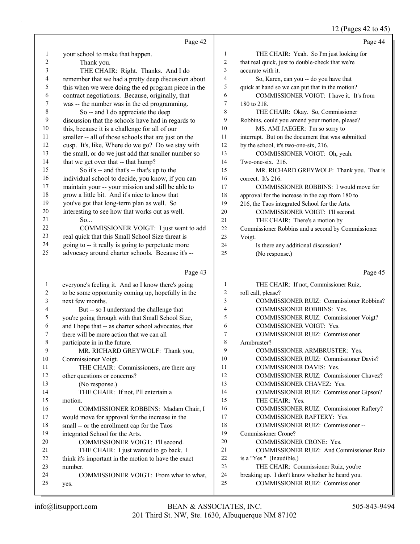## 12 (Pages 42 to 45)

|              | Page 42                                                                                               |                          | Page 44                                                                            |
|--------------|-------------------------------------------------------------------------------------------------------|--------------------------|------------------------------------------------------------------------------------|
| 1            | your school to make that happen.                                                                      | $\mathbf{1}$             | THE CHAIR: Yeah. So I'm just looking for                                           |
| 2            | Thank you.                                                                                            | 2                        | that real quick, just to double-check that we're                                   |
| 3            | THE CHAIR: Right. Thanks. And I do                                                                    | 3                        | accurate with it.                                                                  |
| 4            | remember that we had a pretty deep discussion about                                                   | $\overline{\mathcal{L}}$ | So, Karen, can you -- do you have that                                             |
| 5            | this when we were doing the ed program piece in the                                                   | 5                        | quick at hand so we can put that in the motion?                                    |
| 6            | contract negotiations. Because, originally, that                                                      | 6                        | COMMISSIONER VOIGT: I have it. It's from                                           |
| 7            | was -- the number was in the ed programming.                                                          | $\tau$                   | 180 to 218.                                                                        |
| 8            | So -- and I do appreciate the deep                                                                    | 8                        | THE CHAIR: Okay. So, Commissioner                                                  |
| 9            | discussion that the schools have had in regards to                                                    | 9                        | Robbins, could you amend your motion, please?                                      |
| $10\,$       | this, because it is a challenge for all of our                                                        | 10                       | MS. AMI JAEGER: I'm so sorry to                                                    |
| 11           | smaller -- all of those schools that are just on the                                                  | 11                       | interrupt. But on the document that was submitted                                  |
| 12           | cusp. It's, like, Where do we go? Do we stay with                                                     | 12                       | by the school, it's two-one-six, 216.                                              |
| 13           | the small, or do we just add that smaller number so                                                   | 13                       | COMMISSIONER VOIGT: Oh, yeah.                                                      |
| 14           | that we get over that -- that hump?                                                                   | 14                       | Two-one-six. 216.                                                                  |
| 15           | So it's -- and that's -- that's up to the                                                             | 15                       | MR. RICHARD GREYWOLF: Thank you. That is                                           |
| 16           | individual school to decide, you know, if you can                                                     | 16                       | correct. It's 216.                                                                 |
| 17           | maintain your -- your mission and still be able to                                                    | 17                       | COMMISSIONER ROBBINS: I would move for                                             |
| 18           | grow a little bit. And it's nice to know that                                                         | 18                       | approval for the increase in the cap from 180 to                                   |
| 19           | you've got that long-term plan as well. So                                                            | 19                       | 216, the Taos integrated School for the Arts.                                      |
| $20\,$       | interesting to see how that works out as well.                                                        | 20                       | COMMISSIONER VOIGT: I'll second.                                                   |
| 21           | So                                                                                                    | 21                       | THE CHAIR: There's a motion by                                                     |
| 22<br>23     | COMMISSIONER VOIGT: I just want to add                                                                | 22                       | Commissioner Robbins and a second by Commissioner                                  |
| 24           | real quick that this Small School Size threat is                                                      | 23                       | Voigt.                                                                             |
| 25           | going to -- it really is going to perpetuate more<br>advocacy around charter schools. Because it's -- | 24<br>25                 | Is there any additional discussion?                                                |
|              |                                                                                                       |                          | (No response.)                                                                     |
|              | Page 43                                                                                               |                          | Page 45                                                                            |
|              |                                                                                                       |                          |                                                                                    |
| $\mathbf{1}$ | everyone's feeling it. And so I know there's going                                                    | $\mathbf{1}$             | THE CHAIR: If not, Commissioner Ruiz,                                              |
| $\sqrt{2}$   | to be some opportunity coming up, hopefully in the                                                    | 2                        | roll call, please?                                                                 |
| 3            | next few months.                                                                                      | 3                        | COMMISSIONER RUIZ: Commissioner Robbins?                                           |
| 4            | But -- so I understand the challenge that                                                             | $\overline{4}$           | COMMISSIONER ROBBINS: Yes.                                                         |
| 5            | you're going through with that Small School Size,                                                     | 5                        | COMMISSIONER RUIZ: Commissioner Voigt?                                             |
| 6            | and I hope that -- as charter school advocates, that                                                  | 6                        | COMMISSIONER VOIGT: Yes.                                                           |
| 7            | there will be more action that we can all                                                             | 7                        | COMMISSIONER RUIZ: Commissioner                                                    |
| 8            | participate in in the future.                                                                         | 8                        | Armbruster?                                                                        |
| 9            | MR. RICHARD GREYWOLF: Thank you,                                                                      | 9                        | COMMISSIONER ARMBRUSTER: Yes.                                                      |
| 10           | Commissioner Voigt.                                                                                   | 10                       | <b>COMMISSIONER RUIZ: Commissioner Davis?</b>                                      |
| 11           | THE CHAIR: Commissioners, are there any                                                               | 11                       | COMMISSIONER DAVIS: Yes.                                                           |
| 12           | other questions or concerns?                                                                          | 12                       | COMMISSIONER RUIZ: Commissioner Chavez?                                            |
| 13           | (No response.)                                                                                        | 13                       | COMMISSIONER CHAVEZ: Yes.                                                          |
| 14           | THE CHAIR: If not, I'll entertain a                                                                   | 14<br>15                 | COMMISSIONER RUIZ: Commissioner Gipson?                                            |
| 15           | motion.                                                                                               | 16                       | THE CHAIR: Yes.                                                                    |
| 16<br>17     | COMMISSIONER ROBBINS: Madam Chair, I                                                                  | 17                       | COMMISSIONER RUIZ: Commissioner Raftery?                                           |
| 18           | would move for approval for the increase in the                                                       | 18                       | COMMISSIONER RAFTERY: Yes.                                                         |
| 19           | small -- or the enrollment cap for the Taos                                                           | 19                       | COMMISSIONER RUIZ: Commissioner --<br>Commissioner Crone?                          |
| 20           | integrated School for the Arts.<br>COMMISSIONER VOIGT: I'll second.                                   | 20                       | COMMISSIONER CRONE: Yes.                                                           |
| 21           | THE CHAIR: I just wanted to go back. I                                                                | 21                       | COMMISSIONER RUIZ: And Commissioner Ruiz                                           |
| 22           | think it's important in the motion to have the exact                                                  | 22                       | is a "Yes." (Inaudible.)                                                           |
| 23           | number.                                                                                               | 23                       | THE CHAIR: Commissioner Ruiz, you're                                               |
| 24<br>25     | COMMISSIONER VOIGT: From what to what,                                                                | 24<br>25                 | breaking up. I don't know whether he heard you.<br>COMMISSIONER RUIZ: Commissioner |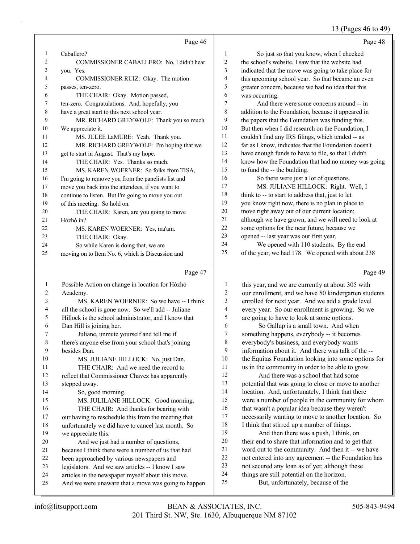#### 13 (Pages 46 to 49)

|        |                                                      |                         | 15 (F ages 40 to 47)                                 |
|--------|------------------------------------------------------|-------------------------|------------------------------------------------------|
|        | Page 46                                              |                         | Page 48                                              |
| 1      | Caballero?                                           | $\mathbf{1}$            | So just so that you know, when I checked             |
| 2      | COMMISSIONER CABALLERO: No, I didn't hear            | $\overline{c}$          | the school's website, I saw that the website had     |
| 3      | you. Yes.                                            | 3                       | indicated that the move was going to take place for  |
| 4      | COMMISSIONER RUIZ: Okay. The motion                  | 4                       | this upcoming school year. So that became an even    |
| 5      | passes, ten-zero.                                    | 5                       | greater concern, because we had no idea that this    |
| 6      | THE CHAIR: Okay. Motion passed,                      | 6                       | was occurring.                                       |
| 7      | ten-zero. Congratulations. And, hopefully, you       | $\boldsymbol{7}$        | And there were some concerns around -- in            |
| 8      | have a great start to this next school year.         | 8                       | addition to the Foundation, because it appeared in   |
| 9      | MR. RICHARD GREYWOLF: Thank you so much.             | 9                       | the papers that the Foundation was funding this.     |
| 10     | We appreciate it.                                    | 10                      | But then when I did research on the Foundation, I    |
| 11     | MS. JULEE LaMURE: Yeah. Thank you.                   | 11                      | couldn't find any IRS filings, which tended -- as    |
| 12     | MR. RICHARD GREYWOLF: I'm hoping that we             | 12                      | far as I know, indicates that the Foundation doesn't |
| 13     | get to start in August. That's my hope.              | 13                      | have enough funds to have to file, so that I didn't  |
| 14     | THE CHAIR: Yes. Thanks so much.                      | 14                      | know how the Foundation that had no money was going  |
| 15     | MS. KAREN WOERNER: So folks from TISA,               | 15                      | to fund the -- the building.                         |
| 16     | I'm going to remove you from the panelists list and  | 16                      | So there were just a lot of questions.               |
| 17     | move you back into the attendees, if you want to     | 17                      | MS. JULIANE HILLOCK: Right. Well, I                  |
| $18\,$ | continue to listen. But I'm going to move you out    | 18                      | think to -- to start to address that, just to let    |
| 19     | of this meeting. So hold on.                         | 19                      | you know right now, there is no plan in place to     |
| 20     | THE CHAIR: Karen, are you going to move              | $20\,$                  | move right away out of our current location;         |
| 21     | Hózhó in?                                            | 21                      | although we have grown, and we will need to look at  |
| 22     | MS. KAREN WOERNER: Yes, ma'am.                       | 22                      | some options for the near future, because we         |
| 23     | THE CHAIR: Okay.                                     | 23                      | opened -- last year was our first year.              |
| 24     | So while Karen is doing that, we are                 | 24                      | We opened with 110 students. By the end              |
| 25     | moving on to Item No. 6, which is Discussion and     | 25                      | of the year, we had 178. We opened with about 238    |
|        | Page 47                                              |                         | Page 49                                              |
| 1      | Possible Action on change in location for Hózhó      | $\mathbf{1}$            | this year, and we are currently at about 305 with    |
| 2      | Academy.                                             | $\overline{c}$          | our enrollment, and we have 50 kindergarten students |
| 3      | MS. KAREN WOERNER: So we have -- I think             | 3                       | enrolled for next year. And we add a grade level     |
| 4      | all the school is gone now. So we'll add -- Juliane  | $\overline{\mathbf{4}}$ | every year. So our enrollment is growing. So we      |
| 5      | Hillock is the school administrator, and I know that | 5                       | are going to have to look at some options.           |
| 6      | Dan Hill is joining her.                             | 6                       | So Gallup is a small town. And when                  |
| 7      | Juliane, unmute yourself and tell me if              | 7                       | something happens, everybody -- it becomes           |
| 8      | there's anyone else from your school that's joining  | $\,$ $\,$               | everybody's business, and everybody wants            |
| 9      | besides Dan.                                         | 9                       | information about it. And there was talk of the --   |
| 10     | MS. JULIANE HILLOCK: No, just Dan.                   | 10                      | the Equitas Foundation looking into some options for |
| 11     | THE CHAIR: And we need the record to                 | 11                      | us in the community in order to be able to grow.     |

 reflect that Commissioner Chavez has apparently stepped away. 14 So, good morning. 15 MS. JULILANE HILLOCK: Good morning. 16 THE CHAIR: And thanks for bearing with our having to reschedule this from the meeting that unfortunately we did have to cancel last month. So we appreciate this. 20 And we just had a number of questions, because I think there were a number of us that had been approached by various newspapers and legislators. And we saw articles -- I know I saw articles in the newspaper myself about this move.

And we were unaware that a move was going to happen.

12 And there was a school that had some potential that was going to close or move to another 14 location. And, unfortunately, I think that there were a number of people in the community for whom that wasn't a popular idea because they weren't necessarily wanting to move to another location. So I think that stirred up a number of things.

19 And then there was a push, I think, on their end to share that information and to get that word out to the community. And then it -- we have not entered into any agreement -- the Foundation has not secured any loan as of yet; although these things are still potential on the horizon. 25 But, unfortunately, because of the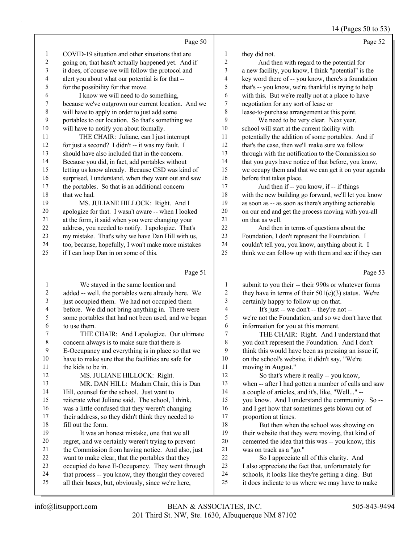14 (Pages 50 to 53)

|                  | Page 50                                                                                                   |                | Page 52                                                                                                |
|------------------|-----------------------------------------------------------------------------------------------------------|----------------|--------------------------------------------------------------------------------------------------------|
| 1                | COVID-19 situation and other situations that are                                                          | 1              | they did not.                                                                                          |
| $\boldsymbol{2}$ | going on, that hasn't actually happened yet. And if                                                       | $\overline{c}$ | And then with regard to the potential for                                                              |
| 3                | it does, of course we will follow the protocol and                                                        | 3              | a new facility, you know, I think "potential" is the                                                   |
| 4                | alert you about what our potential is for that --                                                         | 4              | key word there of -- you know, there's a foundation                                                    |
| 5                | for the possibility for that move.                                                                        | 5              | that's -- you know, we're thankful is trying to help                                                   |
| 6                | I know we will need to do something,                                                                      | 6              | with this. But we're really not at a place to have                                                     |
| 7                | because we've outgrown our current location. And we                                                       | 7              | negotiation for any sort of lease or                                                                   |
| $\,$ $\,$        | will have to apply in order to just add some                                                              | 8              | lease-to-purchase arrangement at this point.                                                           |
| 9                | portables to our location. So that's something we                                                         | 9              | We need to be very clear. Next year,                                                                   |
| 10               | will have to notify you about formally.                                                                   | 10             | school will start at the current facility with                                                         |
| 11               | THE CHAIR: Juliane, can I just interrupt                                                                  | 11             | potentially the addition of some portables. And if                                                     |
| 12               | for just a second? I didn't -- it was my fault. I                                                         | 12             | that's the case, then we'll make sure we follow                                                        |
| 13               | should have also included that in the concern.                                                            | 13             | through with the notification to the Commission so                                                     |
| 14               | Because you did, in fact, add portables without                                                           | 14             | that you guys have notice of that before, you know,                                                    |
| 15               | letting us know already. Because CSD was kind of                                                          | 15             | we occupy them and that we can get it on your agenda                                                   |
| 16               | surprised, I understand, when they went out and saw                                                       | 16             | before that takes place.                                                                               |
| 17               | the portables. So that is an additional concern                                                           | $17$           | And then if -- you know, if -- if things                                                               |
| 18               | that we had.                                                                                              | 18             | with the new building go forward, we'll let you know                                                   |
| 19               | MS. JULIANE HILLOCK: Right. And I                                                                         | 19             | as soon as -- as soon as there's anything actionable                                                   |
| $20\,$           | apologize for that. I wasn't aware -- when I looked                                                       | $20\,$         | on our end and get the process moving with you-all                                                     |
| 21               | at the form, it said when you were changing your                                                          | 21<br>22       | on that as well.                                                                                       |
| $22\,$<br>23     | address, you needed to notify. I apologize. That's                                                        | 23             | And then in terms of questions about the                                                               |
| 24               | my mistake. That's why we have Dan Hill with us,<br>too, because, hopefully, I won't make more mistakes   | 24             | Foundation, I don't represent the Foundation. I<br>couldn't tell you, you know, anything about it. I   |
| 25               | if I can loop Dan in on some of this.                                                                     | 25             | think we can follow up with them and see if they can                                                   |
|                  |                                                                                                           |                |                                                                                                        |
|                  | Page 51                                                                                                   |                | Page 53                                                                                                |
| 1                | We stayed in the same location and                                                                        | 1              | submit to you their -- their 990s or whatever forms                                                    |
| $\overline{c}$   | added -- well, the portables were already here. We                                                        | $\overline{c}$ | they have in terms of their $501(c)(3)$ status. We're                                                  |
| 3                | just occupied them. We had not occupied them                                                              | 3              | certainly happy to follow up on that.                                                                  |
| 4                | before. We did not bring anything in. There were                                                          | 4              | It's just -- we don't -- they're not --                                                                |
| 5                | some portables that had not been used, and we began                                                       | 5              | we're not the Foundation, and so we don't have that                                                    |
| 6                | to use them.                                                                                              | 6              | information for you at this moment.                                                                    |
| 7                | THE CHAIR: And I apologize. Our ultimate                                                                  | 7              | THE CHAIR: Right. And I understand that                                                                |
| 8<br>9           | concern always is to make sure that there is                                                              | 8<br>9         | you don't represent the Foundation. And I don't<br>think this would have been as pressing an issue if, |
| 10               | E-Occupancy and everything is in place so that we<br>have to make sure that the facilities are safe for   | 10             | on the school's website, it didn't say, "We're                                                         |
| 11               | the kids to be in.                                                                                        | 11             | moving in August."                                                                                     |
| 12               | MS. JULIANE HILLOCK: Right.                                                                               | 12             | So that's where it really -- you know,                                                                 |
| 13               | MR. DAN HILL: Madam Chair, this is Dan                                                                    | 13             | when -- after I had gotten a number of calls and saw                                                   |
| 14               | Hill, counsel for the school. Just want to                                                                | 14             | a couple of articles, and it's, like, "Well" --                                                        |
| 15               | reiterate what Juliane said. The school, I think,                                                         | 15             | you know. And I understand the community. So --                                                        |
| 16               | was a little confused that they weren't changing                                                          | 16             | and I get how that sometimes gets blown out of                                                         |
| 17               | their address, so they didn't think they needed to                                                        | 17             | proportion at times.                                                                                   |
| 18               | fill out the form.                                                                                        | 18             | But then when the school was showing on                                                                |
| 19               | It was an honest mistake, one that we all                                                                 | 19             | their website that they were moving, that kind of                                                      |
| $20\,$           | regret, and we certainly weren't trying to prevent                                                        | $20\,$         | cemented the idea that this was -- you know, this                                                      |
| 21               | the Commission from having notice. And also, just                                                         | 21             | was on track as a "go."                                                                                |
| 22               | want to make clear, that the portables that they                                                          | 22             | So I appreciate all of this clarity. And                                                               |
| 23               | occupied do have E-Occupancy. They went through                                                           | 23             | I also appreciate the fact that, unfortunately for                                                     |
| 24<br>25         | that process -- you know, they thought they covered<br>all their bases, but, obviously, since we're here, | 24<br>25       | schools, it looks like they're getting a ding. But<br>it does indicate to us where we may have to make |
|                  |                                                                                                           |                |                                                                                                        |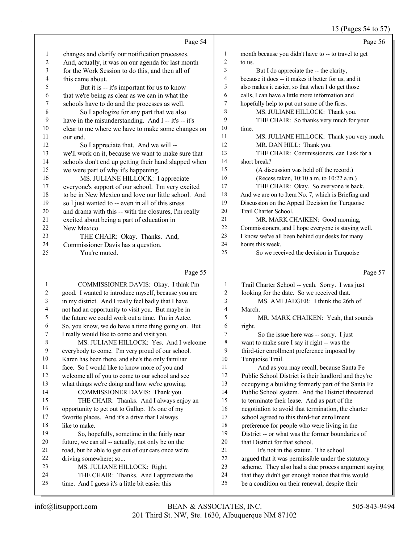## 15 (Pages 54 to 57)

|    | Page 54                                              |                | Page 56                                              |
|----|------------------------------------------------------|----------------|------------------------------------------------------|
| 1  | changes and clarify our notification processes.      | 1              | month because you didn't have to -- to travel to get |
| 2  | And, actually, it was on our agenda for last month   | $\overline{2}$ | to us.                                               |
| 3  | for the Work Session to do this, and then all of     | 3              | But I do appreciate the -- the clarity,              |
| 4  | this came about.                                     | 4              | because it does -- it makes it better for us, and it |
| 5  | But it is -- it's important for us to know           | 5              | also makes it easier, so that when I do get those    |
| 6  | that we're being as clear as we can in what the      | 6              | calls, I can have a little more information and      |
| 7  | schools have to do and the processes as well.        | 7              | hopefully help to put out some of the fires.         |
| 8  | So I apologize for any part that we also             | 8              | MS. JULIANE HILLOCK: Thank you.                      |
| 9  | have in the misunderstanding. And I -- it's -- it's  | 9              | THE CHAIR: So thanks very much for your              |
| 10 | clear to me where we have to make some changes on    | 10             | time.                                                |
| 11 | our end.                                             | 11             | MS. JULIANE HILLOCK: Thank you very much.            |
| 12 | So I appreciate that. And we will --                 | 12             | MR. DAN HILL: Thank you.                             |
| 13 | we'll work on it, because we want to make sure that  | 13             | THE CHAIR: Commissioners, can I ask for a            |
| 14 | schools don't end up getting their hand slapped when | 14             | short break?                                         |
| 15 | we were part of why it's happening.                  | 15             | (A discussion was held off the record.)              |
| 16 | MS. JULIANE HILLOCK: I appreciate                    | 16             | (Recess taken, 10:10 a.m. to 10:22 a.m.)             |
| 17 | everyone's support of our school. I'm very excited   | 17             | THE CHAIR: Okay. So everyone is back.                |
| 18 | to be in New Mexico and love our little school. And  | 18             | And we are on to Item No. 7, which is Briefing and   |
| 19 | so I just wanted to -- even in all of this stress    | 19             | Discussion on the Appeal Decision for Turquoise      |
| 20 | and drama with this -- with the closures, I'm really | 20             | Trail Charter School.                                |
| 21 | excited about being a part of education in           | 21             | MR. MARK CHAIKEN: Good morning,                      |
| 22 | New Mexico.                                          | 22             | Commissioners, and I hope everyone is staying well.  |
| 23 | THE CHAIR: Okay. Thanks. And,                        | 23             | I know we've all been behind our desks for many      |
| 24 | Commissioner Davis has a question.                   | 24             | hours this week.                                     |
| 25 | You're muted.                                        | 25             | So we received the decision in Turquoise             |
|    | Page 55                                              |                | Page 57                                              |
|    | COMMISSIONER DAVIS: Okay. I think I'm                | 1              | Trail Charter School -- yeah. Sorry. I was just      |
|    | $\mathbf{r}$<br>$\sim$ 10 1                          |                |                                                      |

| 2  | good. I wanted to introduce myself, because you are | 2  | looking for the date. So we received that.           |
|----|-----------------------------------------------------|----|------------------------------------------------------|
| 3  | in my district. And I really feel badly that I have | 3  | MS. AMI JAEGER: I think the 26th of                  |
| 4  | not had an opportunity to visit you. But maybe in   | 4  | March.                                               |
| 5  | the future we could work out a time. I'm in Aztec.  | 5  | MR. MARK CHAIKEN: Yeah, that sounds                  |
| 6  | So, you know, we do have a time thing going on. But | 6  | right.                                               |
| 7  | I really would like to come and visit you.          | 7  | So the issue here was -- sorry. I just               |
| 8  | MS. JULIANE HILLOCK: Yes. And I welcome             | 8  | want to make sure I say it right -- was the          |
| 9  | everybody to come. I'm very proud of our school.    | 9  |                                                      |
| 10 |                                                     | 10 | third-tier enrollment preference imposed by          |
|    | Karen has been there, and she's the only familiar   |    | Turquoise Trail.                                     |
| 11 | face. So I would like to know more of you and       | 11 | And as you may recall, because Santa Fe              |
| 12 | welcome all of you to come to our school and see    | 12 | Public School District is their landlord and they're |
| 13 | what things we're doing and how we're growing.      | 13 | occupying a building formerly part of the Santa Fe   |
| 14 | COMMISSIONER DAVIS: Thank you.                      | 14 | Public School system. And the District threatened    |
| 15 | THE CHAIR: Thanks. And I always enjoy an            | 15 | to terminate their lease. And as part of the         |
| 16 | opportunity to get out to Gallup. It's one of my    | 16 | negotiation to avoid that termination, the charter   |
| 17 | favorite places. And it's a drive that I always     | 17 | school agreed to this third-tier enrollment          |
| 18 | like to make.                                       | 18 | preference for people who were living in the         |
| 19 | So, hopefully, sometime in the fairly near          | 19 | District -- or what was the former boundaries of     |
| 20 | future, we can all -- actually, not only be on the  | 20 | that District for that school.                       |
| 21 | road, but be able to get out of our cars once we're | 21 | It's not in the statute. The school                  |
| 22 | driving somewhere; so                               | 22 | argued that it was permissible under the statutory   |
| 23 | MS. JULIANE HILLOCK: Right.                         | 23 | scheme. They also had a due process argument saying  |
| 24 | THE CHAIR: Thanks. And I appreciate the             | 24 | that they didn't get enough notice that this would   |
| 25 | time. And I guess it's a little bit easier this     | 25 | be a condition on their renewal, despite their       |
|    |                                                     |    |                                                      |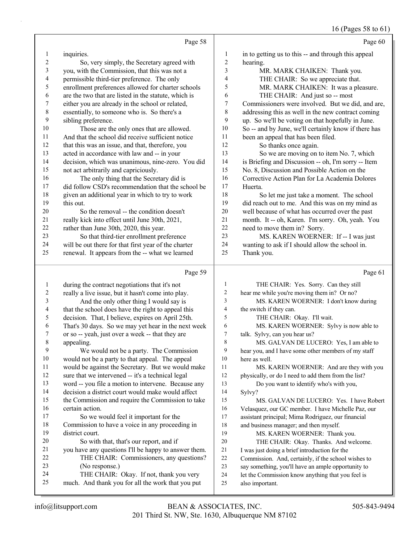## 16 (Pages 58 to 61)

|                                                     | Page 58                                                                                                 |                              | Page 60                                                                  |
|-----------------------------------------------------|---------------------------------------------------------------------------------------------------------|------------------------------|--------------------------------------------------------------------------|
| $\mathbf{1}$                                        | inquiries.                                                                                              | 1                            | in to getting us to this -- and through this appeal                      |
| $\overline{c}$                                      | So, very simply, the Secretary agreed with                                                              | $\mathbf{2}$                 | hearing.                                                                 |
| 3                                                   | you, with the Commission, that this was not a                                                           | 3                            | MR. MARK CHAIKEN: Thank you.                                             |
| 4                                                   | permissible third-tier preference. The only                                                             | 4                            | THE CHAIR: So we appreciate that.                                        |
| 5                                                   | enrollment preferences allowed for charter schools                                                      | 5                            | MR. MARK CHAIKEN: It was a pleasure.                                     |
| 6                                                   | are the two that are listed in the statute, which is                                                    | 6                            | THE CHAIR: And just so -- most                                           |
| $\boldsymbol{7}$                                    | either you are already in the school or related,                                                        | 7                            | Commissioners were involved. But we did, and are,                        |
| 8                                                   | essentially, to someone who is. So there's a                                                            | $\,8\,$                      | addressing this as well in the new contract coming                       |
| 9                                                   | sibling preference.                                                                                     | 9                            | up. So we'll be voting on that hopefully in June.                        |
| 10                                                  | Those are the only ones that are allowed.                                                               | 10                           | So -- and by June, we'll certainly know if there has                     |
| 11                                                  | And that the school did receive sufficient notice                                                       | 11                           | been an appeal that has been filed.                                      |
| 12                                                  | that this was an issue, and that, therefore, you                                                        | 12                           | So thanks once again.                                                    |
| 13                                                  | acted in accordance with law and -- in your                                                             | 13                           | So we are moving on to item No. 7, which                                 |
| 14                                                  | decision, which was unanimous, nine-zero. You did                                                       | 14                           | is Briefing and Discussion -- oh, I'm sorry -- Item                      |
| 15                                                  | not act arbitrarily and capriciously.                                                                   | 15                           | No. 8, Discussion and Possible Action on the                             |
| 16                                                  | The only thing that the Secretary did is                                                                | 16                           | Corrective Action Plan for La Academia Dolores                           |
| 17                                                  | did follow CSD's recommendation that the school be                                                      | 17                           | Huerta.                                                                  |
| 18                                                  | given an additional year in which to try to work                                                        | 18                           | So let me just take a moment. The school                                 |
| 19                                                  | this out.                                                                                               | 19                           | did reach out to me. And this was on my mind as                          |
| $20\,$                                              | So the removal -- the condition doesn't                                                                 | 20                           | well because of what has occurred over the past                          |
| 21                                                  | really kick into effect until June 30th, 2021,                                                          | 21                           | month. It -- oh, Karen. I'm sorry. Oh, yeah. You                         |
| $22\,$                                              | rather than June 30th, 2020, this year.                                                                 | 22                           | need to move them in? Sorry.                                             |
| 23                                                  | So that third-tier enrollment preference                                                                | 23                           | MS. KAREN WOERNER: If -- I was just                                      |
| 24                                                  | will be out there for that first year of the charter                                                    | 24                           | wanting to ask if I should allow the school in.                          |
| 25                                                  | renewal. It appears from the -- what we learned                                                         | 25                           | Thank you.                                                               |
|                                                     |                                                                                                         |                              |                                                                          |
|                                                     | Page 59                                                                                                 |                              | Page 61                                                                  |
|                                                     |                                                                                                         |                              |                                                                          |
| $\mathbf{1}$                                        | during the contract negotiations that it's not                                                          | $\mathbf{1}$                 | THE CHAIR: Yes. Sorry. Can they still                                    |
| $\overline{\mathbf{c}}$                             | really a live issue, but it hasn't come into play.                                                      | $\overline{\mathbf{c}}$<br>3 | hear me while you're moving them in? Or no?                              |
| $\overline{\mathbf{3}}$<br>$\overline{\mathcal{A}}$ | And the only other thing I would say is                                                                 | $\overline{\mathcal{A}}$     | MS. KAREN WOERNER: I don't know during                                   |
| 5                                                   | that the school does have the right to appeal this                                                      | 5                            | the switch if they can.                                                  |
| 6                                                   | decision. That, I believe, expires on April 25th.                                                       | 6                            | THE CHAIR: Okay. I'll wait.                                              |
| $\boldsymbol{7}$                                    | That's 30 days. So we may yet hear in the next week<br>or so -- yeah, just over a week -- that they are | 7                            | MS. KAREN WOERNER: Sylvy is now able to<br>talk. Sylvy, can you hear us? |
| 8                                                   |                                                                                                         | 8                            | MS. GALVAN DE LUCERO: Yes, I am able to                                  |
| 9                                                   | appealing.<br>We would not be a party. The Commission                                                   | 9                            | hear you, and I have some other members of my staff                      |
| 10                                                  | would not be a party to that appeal. The appeal                                                         | 10                           | here as well.                                                            |
| 11                                                  | would be against the Secretary. But we would make                                                       | 11                           | MS. KAREN WOERNER: And are they with you                                 |
| 12                                                  | sure that we intervened -- it's a technical legal                                                       | 12                           | physically, or do I need to add them from the list?                      |
| 13                                                  | word -- you file a motion to intervene. Because any                                                     | 13                           | Do you want to identify who's with you,                                  |
| 14                                                  | decision a district court would make would affect                                                       | 14                           | Sylvy?                                                                   |
| 15                                                  | the Commission and require the Commission to take                                                       | 15                           | MS. GALVAN DE LUCERO: Yes. I have Robert                                 |
| 16                                                  | certain action.                                                                                         | 16                           | Velasquez, our GC member. I have Michelle Paz, our                       |
| 17                                                  | So we would feel it important for the                                                                   | 17                           | assistant principal; Mima Rodriguez, our financial                       |
| 18                                                  | Commission to have a voice in any proceeding in                                                         | 18                           | and business manager; and then myself.                                   |
| 19                                                  | district court.                                                                                         | 19                           | MS. KAREN WOERNER: Thank you.                                            |
| $20\,$                                              | So with that, that's our report, and if                                                                 | 20                           | THE CHAIR: Okay. Thanks. And welcome.                                    |
| 21                                                  | you have any questions I'll be happy to answer them.                                                    | 21                           | I was just doing a brief introduction for the                            |
| 22                                                  | THE CHAIR: Commissioners, any questions?                                                                | 22                           | Commission. And, certainly, if the school wishes to                      |
| 23                                                  | (No response.)                                                                                          | 23                           | say something, you'll have an ample opportunity to                       |
| 24<br>$25\,$                                        | THE CHAIR: Okay. If not, thank you very<br>much. And thank you for all the work that you put            | 24<br>$25\,$                 | let the Commission know anything that you feel is<br>also important.     |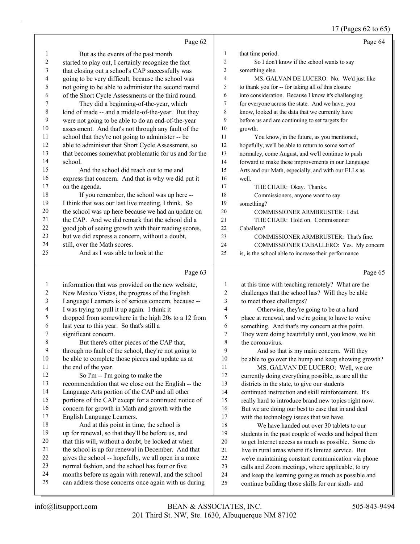## 17 (Pages 62 to 65)

|                | Page 62                                              |                          | Page 64                                                                                             |
|----------------|------------------------------------------------------|--------------------------|-----------------------------------------------------------------------------------------------------|
| 1              | But as the events of the past month                  | $\mathbf{1}$             | that time period.                                                                                   |
| $\overline{c}$ | started to play out, I certainly recognize the fact  | $\overline{c}$           | So I don't know if the school wants to say                                                          |
| 3              | that closing out a school's CAP successfully was     | 3                        | something else.                                                                                     |
| 4              | going to be very difficult, because the school was   | $\overline{\mathcal{L}}$ | MS. GALVAN DE LUCERO: No. We'd just like                                                            |
| 5              | not going to be able to administer the second round  | 5                        | to thank you for -- for taking all of this closure                                                  |
| 6              | of the Short Cycle Assessments or the third round.   | 6                        | into consideration. Because I know it's challenging                                                 |
| 7              | They did a beginning-of-the-year, which              | 7                        | for everyone across the state. And we have, you                                                     |
| $\,$ 8 $\,$    | kind of made -- and a middle-of-the-year. But they   | 8                        | know, looked at the data that we currently have                                                     |
| 9              | were not going to be able to do an end-of-the-year   | 9                        | before us and are continuing to set targets for                                                     |
| $10\,$         | assessment. And that's not through any fault of the  | 10                       | growth.                                                                                             |
| 11             | school that they're not going to administer -- be    | 11                       | You know, in the future, as you mentioned,                                                          |
| 12             | able to administer that Short Cycle Assessment, so   | 12                       | hopefully, we'll be able to return to some sort of                                                  |
| 13             | that becomes somewhat problematic for us and for the | 13                       | normalcy, come August, and we'll continue to push                                                   |
| 14             | school.                                              | 14                       | forward to make these improvements in our Language                                                  |
| 15             | And the school did reach out to me and               | 15                       | Arts and our Math, especially, and with our ELLs as                                                 |
| 16             | express that concern. And that is why we did put it  | 16                       | well.                                                                                               |
| 17             | on the agenda.                                       | 17                       | THE CHAIR: Okay. Thanks.                                                                            |
| 18             | If you remember, the school was up here --           | 18                       | Commissioners, anyone want to say                                                                   |
| 19             | I think that was our last live meeting, I think. So  | 19                       | something?                                                                                          |
| $20\,$         | the school was up here because we had an update on   | 20                       | COMMISSIONER ARMBRUSTER: I did.                                                                     |
| 21             | the CAP. And we did remark that the school did a     | 21                       | THE CHAIR: Hold on. Commissioner                                                                    |
| $22\,$         | good job of seeing growth with their reading scores, | 22                       | Caballero?                                                                                          |
| 23             | but we did express a concern, without a doubt,       | 23                       | COMMISSIONER ARMBRUSTER: That's fine.                                                               |
| 24             | still, over the Math scores.                         | 24                       | COMMISSIONER CABALLERO: Yes. My concern                                                             |
| 25             | And as I was able to look at the                     | 25                       | is, is the school able to increase their performance                                                |
|                | Page 63                                              |                          | Page 65                                                                                             |
| $\mathbf{1}$   | information that was provided on the new website,    | $\mathbf{1}$             | at this time with teaching remotely? What are the                                                   |
| $\overline{c}$ | New Mexico Vistas, the progress of the English       | $\overline{c}$           | challenges that the school has? Will they be able                                                   |
| 3              | Language Learners is of serious concern, because --  | 3                        | to meet those challenges?                                                                           |
| 4              | I was trying to pull it up again. I think it         | $\overline{4}$           | Otherwise, they're going to be at a hard                                                            |
| 5              | dropped from somewhere in the high 20s to a 12 from  | 5                        | place at renewal, and we're going to have to waive                                                  |
| 6              | last year to this year. So that's still a            | 6                        | something. And that's my concern at this point.                                                     |
| 7              | significant concern.                                 | $\tau$                   | They were doing beautifully until, you know, we hit                                                 |
| 8              | But there's other pieces of the CAP that,            | 8                        | the coronavirus.                                                                                    |
| 9              | through no fault of the school, they're not going to | 9                        | And so that is my main concern. Will they                                                           |
| 10             | be able to complete those pieces and update us at    | 10                       | be able to go over the hump and keep showing growth?                                                |
| 11             |                                                      |                          |                                                                                                     |
|                | the end of the year.                                 | 11                       |                                                                                                     |
| 12             | So I'm -- I'm going to make the                      | $12\,$                   | MS. GALVAN DE LUCERO: Well, we are                                                                  |
| 13             | recommendation that we close out the English -- the  | 13                       | currently doing everything possible, as are all the                                                 |
| 14             | Language Arts portion of the CAP and all other       | 14                       | districts in the state, to give our students<br>continued instruction and skill reinforcement. It's |
| 15             | portions of the CAP except for a continued notice of | 15                       | really hard to introduce brand new topics right now.                                                |
| 16             | concern for growth in Math and growth with the       | 16                       | But we are doing our best to ease that in and deal                                                  |
| 17             | English Language Learners.                           | 17                       | with the technology issues that we have.                                                            |
| 18             | And at this point in time, the school is             | $18\,$                   | We have handed out over 30 tablets to our                                                           |
| 19             | up for renewal, so that they'll be before us, and    | 19                       | students in the past couple of weeks and helped them                                                |
| 20             | that this will, without a doubt, be looked at when   | $20\,$                   | to get Internet access as much as possible. Some do                                                 |
| 21             | the school is up for renewal in December. And that   | 21                       | live in rural areas where it's limited service. But                                                 |
| $22\,$         | gives the school -- hopefully, we all open in a more | $22\,$                   | we're maintaining constant communication via phone                                                  |
| 23             | normal fashion, and the school has four or five      | 23                       | calls and Zoom meetings, where applicable, to try                                                   |
| 24             | months before us again with renewal, and the school  | 24                       | and keep the learning going as much as possible and                                                 |
| 25             | can address those concerns once again with us during | 25                       | continue building those skills for our sixth- and                                                   |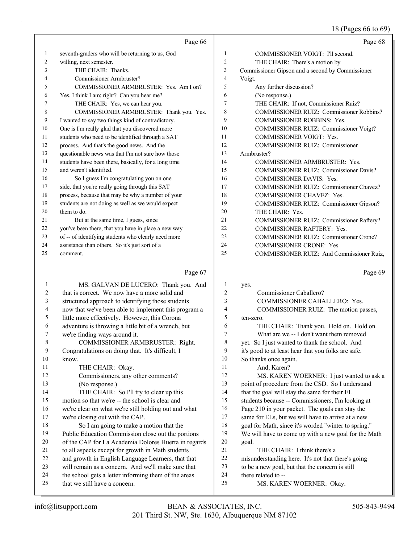## 18 (Pages 66 to 69)

|    | Page 66                                              |                | Page 68                                          |
|----|------------------------------------------------------|----------------|--------------------------------------------------|
| -1 | seventh-graders who will be returning to us, God     | -1             | COMMISSIONER VOIGT: I'll second.                 |
| 2  | willing, next semester.                              | $\overline{2}$ | THE CHAIR: There's a motion by                   |
| 3  | THE CHAIR: Thanks.                                   | 3              | Commissioner Gipson and a second by Commissioner |
| 4  | Commissioner Armbruster?                             | 4              | Voigt.                                           |
| 5  | COMMISSIONER ARMBRUSTER: Yes. Am I on?               | 5              | Any further discussion?                          |
| 6  | Yes, I think I am; right? Can you hear me?           | 6              | (No response.)                                   |
| 7  | THE CHAIR: Yes, we can hear you.                     | 7              | THE CHAIR: If not, Commissioner Ruiz?            |
| 8  | COMMISSIONER ARMBRUSTER: Thank you. Yes.             | 8              | <b>COMMISSIONER RUIZ: Commissioner Robbins?</b>  |
| 9  | I wanted to say two things kind of contradictory.    | 9              | <b>COMMISSIONER ROBBINS: Yes.</b>                |
| 10 | One is I'm really glad that you discovered more      | 10             | COMMISSIONER RUIZ: Commissioner Voigt?           |
| 11 | students who need to be identified through a SAT     | 11             | COMMISSIONER VOIGT: Yes.                         |
| 12 | process. And that's the good news. And the           | 12             | <b>COMMISSIONER RUIZ: Commissioner</b>           |
| 13 | questionable news was that I'm not sure how those    | 13             | Armbruster?                                      |
| 14 | students have been there, basically, for a long time | 14             | <b>COMMISSIONER ARMBRUSTER: Yes.</b>             |
| 15 | and weren't identified.                              | 15             | <b>COMMISSIONER RUIZ: Commissioner Davis?</b>    |
| 16 | So I guess I'm congratulating you on one             | 16             | <b>COMMISSIONER DAVIS: Yes.</b>                  |
| 17 | side, that you're really going through this SAT      | 17             | <b>COMMISSIONER RUIZ: Commissioner Chavez?</b>   |
| 18 | process, because that may be why a number of your    | 18             | <b>COMMISSIONER CHAVEZ: Yes.</b>                 |
| 19 | students are not doing as well as we would expect    | 19             | COMMISSIONER RUIZ: Commissioner Gipson?          |
| 20 | them to do.                                          | 20             | THE CHAIR: Yes.                                  |
| 21 | But at the same time, I guess, since                 | 21             | COMMISSIONER RUIZ: Commissioner Raftery?         |
| 22 | you've been there, that you have in place a new way  | 22             | <b>COMMISSIONER RAFTERY: Yes.</b>                |
| 23 | of -- of identifying students who clearly need more  | 23             | <b>COMMISSIONER RUIZ: Commissioner Crone?</b>    |
| 24 | assistance than others. So it's just sort of a       | 24             | COMMISSIONER CRONE: Yes.                         |
| 25 | comment.                                             | 25             | <b>COMMISSIONER RUIZ: And Commissioner Ruiz.</b> |

## Page 67

|    | MS. GALVAN DE LUCERO: Thank you. And                 | 1  | yes.                                                 |
|----|------------------------------------------------------|----|------------------------------------------------------|
| 2  | that is correct. We now have a more solid and        | 2  | Commissioner Caballero?                              |
| 3  | structured approach to identifying those students    | 3  | COMMISSIONER CABALLERO: Yes.                         |
| 4  | now that we've been able to implement this program a | 4  | COMMISSIONER RUIZ: The motion passes,                |
| 5  | little more effectively. However, this Corona        | 5  | ten-zero.                                            |
| 6  | adventure is throwing a little bit of a wrench, but  | 6  | THE CHAIR: Thank you. Hold on. Hold on.              |
| 7  | we're finding ways around it.                        | 7  | What are we -- I don't want them removed             |
| 8  | COMMISSIONER ARMBRUSTER: Right.                      | 8  | yet. So I just wanted to thank the school. And       |
| 9  | Congratulations on doing that. It's difficult, I     | 9  | it's good to at least hear that you folks are safe.  |
| 10 | know.                                                | 10 | So thanks once again.                                |
| 11 | THE CHAIR: Okay.                                     | 11 | And, Karen?                                          |
| 12 | Commissioners, any other comments?                   | 12 | MS. KAREN WOERNER: I just wanted to ask a            |
| 13 | (No response.)                                       | 13 | point of procedure from the CSD. So I understand     |
| 14 | THE CHAIR: So I'll try to clear up this              | 14 | that the goal will stay the same for their EL        |
| 15 | motion so that we're -- the school is clear and      | 15 | students because -- Commissioners, I'm looking at    |
| 16 | we're clear on what we're still holding out and what | 16 | Page 210 in your packet. The goals can stay the      |
| 17 | we're closing out with the CAP.                      | 17 | same for ELs, but we will have to arrive at a new    |
| 18 | So I am going to make a motion that the              | 18 | goal for Math, since it's worded "winter to spring." |
| 19 | Public Education Commission close out the portions   | 19 | We will have to come up with a new goal for the Math |
| 20 | of the CAP for La Academia Dolores Huerta in regards | 20 | goal.                                                |
| 21 | to all aspects except for growth in Math students    | 21 | THE CHAIR: I think there's a                         |
| 22 | and growth in English Language Learners, that that   | 22 | misunderstanding here. It's not that there's going   |
| 23 | will remain as a concern. And we'll make sure that   | 23 | to be a new goal, but that the concern is still      |
| 24 | the school gets a letter informing them of the areas | 24 | there related to --                                  |
| 25 | that we still have a concern.                        | 25 | MS. KAREN WOERNER: Okay.                             |
|    |                                                      |    |                                                      |

Page 69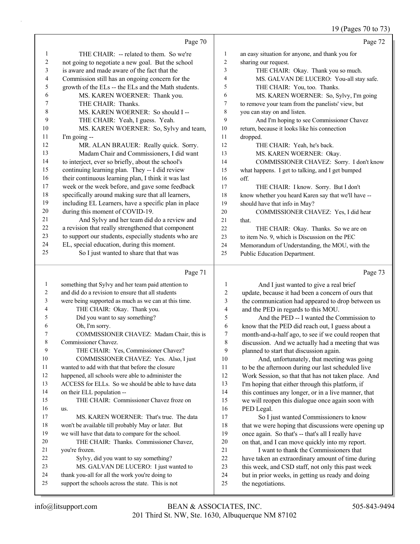## 19 (Pages 70 to 73)

|              | Page 70                                              |                  | Page 72                                              |
|--------------|------------------------------------------------------|------------------|------------------------------------------------------|
| $\mathbf{1}$ | THE CHAIR: -- related to them. So we're              | $\mathbf{1}$     | an easy situation for anyone, and thank you for      |
| $\sqrt{2}$   | not going to negotiate a new goal. But the school    | $\boldsymbol{2}$ | sharing our request.                                 |
| $\sqrt{3}$   | is aware and made aware of the fact that the         | 3                | THE CHAIR: Okay. Thank you so much.                  |
| 4            | Commission still has an ongoing concern for the      | 4                | MS. GALVAN DE LUCERO: You-all stay safe.             |
| 5            | growth of the ELs -- the ELs and the Math students.  | 5                | THE CHAIR: You, too. Thanks.                         |
| 6            | MS. KAREN WOERNER: Thank you.                        | 6                | MS. KAREN WOERNER: So, Sylvy, I'm going              |
| 7            | THE CHAIR: Thanks.                                   | 7                | to remove your team from the panelists' view, but    |
| 8            | MS. KAREN WOERNER: So should I --                    | 8                | you can stay on and listen.                          |
| 9            | THE CHAIR: Yeah, I guess. Yeah.                      | 9                | And I'm hoping to see Commissioner Chavez            |
| 10           | MS. KAREN WOERNER: So, Sylvy and team,               | 10               | return, because it looks like his connection         |
| 11           | I'm going --                                         | 11               | dropped.                                             |
| 12           | MR. ALAN BRAUER: Really quick. Sorry.                | 12               | THE CHAIR: Yeah, he's back.                          |
| 13           | Madam Chair and Commissioners, I did want            | 13               | MS. KAREN WOERNER: Okay.                             |
| 14           | to interject, ever so briefly, about the school's    | 14               | COMMISSIONER CHAVEZ: Sorry. I don't know             |
| 15           | continuing learning plan. They -- I did review       | 15               | what happens. I get to talking, and I get bumped     |
| 16           | their continuous learning plan, I think it was last  | 16               | off.                                                 |
| 17           | week or the week before, and gave some feedback      | 17               | THE CHAIR: I know. Sorry. But I don't                |
| $18\,$       | specifically around making sure that all learners,   | 18               | know whether you heard Karen say that we'll have --  |
| 19           | including EL Learners, have a specific plan in place | 19               | should have that info in May?                        |
| $20\,$       | during this moment of COVID-19.                      | 20               | COMMISSIONER CHAVEZ: Yes, I did hear                 |
| 21           | And Sylvy and her team did do a review and           | 21               | that.                                                |
| 22           | a revision that really strengthened that component   | 22               | THE CHAIR: Okay. Thanks. So we are on                |
| 23           | to support our students, especially students who are | 23               | to item No. 9, which is Discussion on the PEC        |
| 24           | EL, special education, during this moment.           | 24               | Memorandum of Understanding, the MOU, with the       |
| 25           | So I just wanted to share that that was              | 25               | Public Education Department.                         |
|              | Page 71                                              |                  | Page 73                                              |
| 1            | something that Sylvy and her team paid attention to  | $\mathbf{1}$     | And I just wanted to give a real brief               |
| 2            | and did do a revision to ensure that all students    | 2                | update, because it had been a concern of ours that   |
| 3            | were being supported as much as we can at this time. | 3                | the communication had appeared to drop between us    |
| 4            | THE CHAIR: Okay. Thank you.                          | 4                | and the PED in regards to this MOU.                  |
| 5            | Did you want to say something?                       | 5                | And the PED -- I wanted the Commission to            |
| 6            | Oh, I'm sorry.                                       | 6                | know that the PED did reach out, I guess about a     |
| 7            | COMMISSIONER CHAVEZ: Madam Chair, this is            | 7                | month-and-a-half ago, to see if we could reopen that |
| 8            | Commissioner Chavez.                                 | $\,$ $\,$        | discussion. And we actually had a meeting that was   |
| 9            | THE CHAIR: Yes, Commissioner Chavez?                 | 9                | planned to start that discussion again.              |
| 10           | COMMISSIONER CHAVEZ: Yes. Also, I just               | 10               | And, unfortunately, that meeting was going           |
| 11           | wanted to add with that that before the closure      | 11               | to be the afternoon during our last scheduled live   |
| 12           | happened, all schools were able to administer the    | 12               | Work Session, so that that has not taken place. And  |
| 13           | ACCESS for ELLs. So we should be able to have data   | 13               | I'm hoping that either through this platform, if     |
| 14           | on their ELL population --                           | 14               | this continues any longer, or in a live manner, that |
| 15           | THE CHAIR: Commissioner Chavez froze on              | 15               | we will reopen this dialogue once again soon with    |
| 16           | us.                                                  | 16               | PED Legal.                                           |
| 17           | MS. KAREN WOERNER: That's true. The data             | 17               | So I just wanted Commissioners to know               |
| 18           | won't be available till probably May or later. But   | 18               | that we were hoping that discussions were opening up |
| 19           | we will have that data to compare for the school.    | 19               | once again. So that's -- that's all I really have    |
| 20           | THE CHAIR: Thanks. Commissioner Chavez,              | $20\,$           | on that, and I can move quickly into my report.      |
| 21           | you're frozen.                                       | 21               | I want to thank the Commissioners that               |
| 22           | Sylvy, did you want to say something?                | $22\,$           | have taken an extraordinary amount of time during    |
| 23           | MS. GALVAN DE LUCERO: I just wanted to               | 23               | this week, and CSD staff, not only this past week    |
| 24<br>25     | thank you-all for all the work you're doing to       | 24<br>25         | but in prior weeks, in getting us ready and doing    |
|              | support the schools across the state. This is not    |                  | the negotiations.                                    |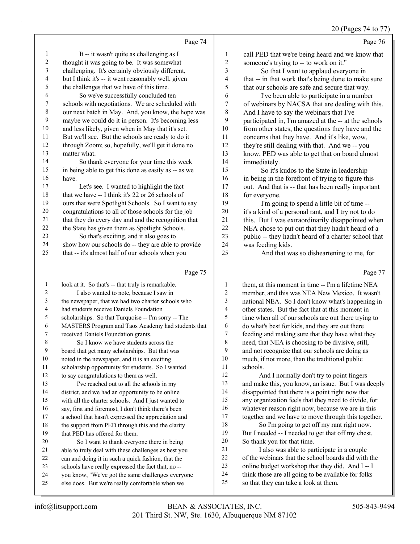20 (Pages 74 to 77)

|                | Page 74                                              |                | Page 76                                              |
|----------------|------------------------------------------------------|----------------|------------------------------------------------------|
| 1              | It -- it wasn't quite as challenging as I            | 1              | call PED that we're being heard and we know that     |
| $\overline{c}$ | thought it was going to be. It was somewhat          | 2              | someone's trying to -- to work on it."               |
| 3              | challenging. It's certainly obviously different,     | 3              | So that I want to applaud everyone in                |
| 4              | but I think it's -- it went reasonably well, given   | 4              | that -- in that work that's being done to make sure  |
| 5              | the challenges that we have of this time.            | 5              | that our schools are safe and secure that way.       |
| 6              | So we've successfully concluded ten                  | 6              | I've been able to participate in a number            |
| 7              | schools with negotiations. We are scheduled with     | $\overline{7}$ | of webinars by NACSA that are dealing with this.     |
| 8              | our next batch in May. And, you know, the hope was   | 8              | And I have to say the webinars that I've             |
| 9              | maybe we could do it in person. It's becoming less   | 9              | participated in, I'm amazed at the -- at the schools |
| 10             | and less likely, given when in May that it's set.    | 10             | from other states, the questions they have and the   |
| 11             | But we'll see. But the schools are ready to do it    | 11             | concerns that they have. And it's like, wow,         |
| 12             | through Zoom; so, hopefully, we'll get it done no    | 12             | they're still dealing with that. And we -- you       |
| 13             | matter what.                                         | 13             | know, PED was able to get that on board almost       |
| 14             | So thank everyone for your time this week            | 14             | immediately.                                         |
| 15             | in being able to get this done as easily as -- as we | 15             | So it's kudos to the State in leadership             |
| 16             | have.                                                | 16             | in being in the forefront of trying to figure this   |
| 17             | Let's see. I wanted to highlight the fact            | 17             | out. And that is -- that has been really important   |
| 18             | that we have -- I think it's 22 or 26 schools of     | 18             | for everyone.                                        |
| 19             | ours that were Spotlight Schools. So I want to say   | 19             | I'm going to spend a little bit of time --           |
| 20             | congratulations to all of those schools for the job  | 20             | it's a kind of a personal rant, and I try not to do  |
| 21             | that they do every day and and the recognition that  | 21             | this. But I was extraordinarily disappointed when    |
| 22             | the State has given them as Spotlight Schools.       | 22             | NEA chose to put out that they hadn't heard of a     |
| 23             | So that's exciting, and it also goes to              | 23             | public -- they hadn't heard of a charter school that |
| 24             | show how our schools do -- they are able to provide  | 24             | was feeding kids.                                    |
| 25             | that -- it's almost half of our schools when you     | 25             | And that was so disheartening to me, for             |
|                | Page 75                                              |                | Page 77                                              |
| 1              | look at it. So that's -- that truly is remarkable.   | 1              | them, at this moment in time -- I'm a lifetime NEA   |

| $\overline{2}$ | I also wanted to note, because I saw in              | 2                        |
|----------------|------------------------------------------------------|--------------------------|
| 3              | the newspaper, that we had two charter schools who   |                          |
| 4              | had students receive Daniels Foundation              | $\overline{\phantom{a}}$ |
| 5              | scholarships. So that Turquoise -- I'm sorry -- The  | Ŝ                        |
| 6              | MASTERS Program and Taos Academy had students that   | 6                        |
| 7              | received Daniels Foundation grants.                  |                          |
| 8              | So I know we have students across the                | ξ                        |
| 9              | board that get many scholarships. But that was       | Ç                        |
| 10             | noted in the newspaper, and it is an exciting        | 1 <sub>0</sub>           |
| 11             | scholarship opportunity for students. So I wanted    | 11                       |
| 12             | to say congratulations to them as well.              | 12                       |
| 13             | I've reached out to all the schools in my            | 13                       |
| 14             | district, and we had an opportunity to be online     | 14                       |
| 15             | with all the charter schools. And I just wanted to   | 1:                       |
| 16             | say, first and foremost, I don't think there's been  | 1 <sub>0</sub>           |
| 17             | a school that hasn't expressed the appreciation and  | 11                       |
| 18             | the support from PED through this and the clarity    | 18                       |
| 19             | that PED has offered for them.                       | 19                       |
| 20             | So I want to thank everyone there in being           | $\overline{2}$           |
| 21             | able to truly deal with these challenges as best you | 21                       |
| 22             | can and doing it in such a quick fashion, that the   | 22                       |
| 23             | schools have really expressed the fact that, no --   | 2 <sup>3</sup>           |
| 24             | you know, "We've got the same challenges everyone    | 2 <sup>2</sup>           |
|                |                                                      |                          |

national NEA. So I don't know what's happening in other states. But the fact that at this moment in time when all of our schools are out there trying to do what's best for kids, and they are out there feeding and making sure that they have what they need, that NEA is choosing to be divisive, still, and not recognize that our schools are doing as much, if not more, than the traditional public schools.

member, and this was NEA New Mexico. It wasn't

And I normally don't try to point fingers and make this, you know, an issue. But I was deeply disappointed that there is a point right now that any organization feels that they need to divide, for whatever reason right now, because we are in this together and we have to move through this together.

18 So I'm going to get off my rant right now. But I needed -- I needed to get that off my chest. So thank you for that time.

I also was able to participate in a couple of the webinars that the school boards did with the online budget workshop that they did. And I -- I 4 think those are all going to be available for folks

so that they can take a look at them.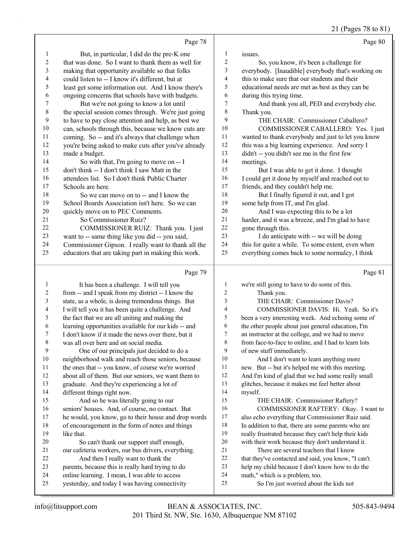21 (Pages 78 to 81)

|              | Page 78                                              |                | Page 80                                            |
|--------------|------------------------------------------------------|----------------|----------------------------------------------------|
| 1            | But, in particular, I did do the pre-K one           | 1              | issues.                                            |
| 2            | that was done. So I want to thank them as well for   | 2              | So, you know, it's been a challenge for            |
| 3            | making that opportunity available so that folks      | 3              | everybody. [Inaudible] everybody that's working on |
| 4            | could listen to -- I know it's different, but at     | 4              | this to make sure that our students and their      |
| 5            | least get some information out. And I know there's   | 5              | educational needs are met as best as they can be   |
| 6            | ongoing concerns that schools have with budgets.     | 6              | during this trying time.                           |
| 7            | But we're not going to know a lot until              | 7              | And thank you all, PED and everybody else.         |
| $\,$ $\,$    | the special session comes through. We're just going  | $\,$ $\,$      | Thank you.                                         |
| 9            | to have to pay close attention and help, as best we  | 9              | THE CHAIR: Commissioner Caballero?                 |
| 10           | can, schools through this, because we know cuts are  | $10\,$         | COMMISSIONER CABALLERO: Yes. I just                |
| 11           | coming. So -- and it's always that challenge when    | 11             | wanted to thank everybody and just to let you know |
| 12           | you're being asked to make cuts after you've already | 12             | this was a big learning experience. And sorry I    |
| 13           | made a budget.                                       | 13             | didn't -- you didn't see me in the first few       |
| 14           | So with that, I'm going to move on -- I              | 14             | meetings.                                          |
| 15           | don't think -- I don't think I saw Matt in the       | 15             | But I was able to get it done. I thought           |
| 16           | attendees list. So I don't think Public Charter      | 16             | I could get it done by myself and reached out to   |
| 17           | Schools are here.                                    | 17             | friends, and they couldn't help me.                |
| 18           | So we can move on to -- and I know the               | 18             | But I finally figured it out, and I got            |
| 19           | School Boards Association isn't here. So we can      | 19             | some help from IT, and I'm glad.                   |
| 20           | quickly move on to PEC Comments.                     | 20             | And I was expecting this to be a lot               |
| 21           | So Commissioner Ruiz?                                | 21             | harder, and it was a breeze, and I'm glad to have  |
| 22           | COMMISSIONER RUIZ: Thank you. I just                 | 22             | gone through this.                                 |
| 23           | want to -- same thing like you did -- you said,      | 23             | I do anticipate with -- we will be doing           |
| 24           | Commissioner Gipson. I really want to thank all the  | 24             | this for quite a while. To some extent, even when  |
| 25           | educators that are taking part in making this work.  | 25             | everything comes back to some normalcy, I think    |
|              | Page 79                                              |                | Page 81                                            |
| 1            | It has been a challenge. I will tell you             | 1              | we're still going to have to do some of this.      |
| $\mathbf{2}$ | from -- and I speak from my district -- I know the   | $\overline{c}$ | Thank you.                                         |
| 3            | state, as a whole, is doing tremendous things. But   | 3              | THE CHAIR: Commissioner Davis?                     |
| 4            | I will tell you it has been quite a challenge. And   | 4              | COMMISSIONER DAVIS: Hi. Yeah. So it's              |
| 5            | the fact that we are all uniting and making the      | 5              | been a very interesting week. And echoing some of  |
| 6            | learning opportunities available for our kids -- and | 6              | the other people about just general education, I'm |
| 7            | I don't know if it made the news over there, but it  | 7              | an instructor at the college, and we had to move   |

 from face-to-face to online, and I had to learn lots of new stuff immediately.

10 And I don't want to learn anything more new. But -- but it's helped me with this meeting. And I'm kind of glad that we had some really small glitches, because it makes me feel better about myself. 15 THE CHAIR: Commissioner Raftery?

16 COMMISSIONER RAFTERY: Okay. I want to also echo everything that Commissioner Ruiz said. In addition to that, there are some parents who are really frustrated because they can't help their kids with their work because they don't understand it. 21 There are several teachers that I know that they've contacted and said, you know, "I can't help my child because I don't know how to do the math," which is a problem, too.

25 So I'm just worried about the kids not

like that.

was all over here and on social media.

9 One of our principals just decided to do a neighborhood walk and reach those seniors, because the ones that -- you know, of course we're worried about all of them. But our seniors, we want them to

graduate. And they're experiencing a lot of

15 And so he was literally going to our seniors' houses. And, of course, no contact. But he would, you know, go to their house and drop words of encouragement in the form of notes and things

20 So can't thank our support staff enough, our cafeteria workers, our bus drivers, everything.

22 And then I really want to thank the parents, because this is really hard trying to do online learning. I mean, I was able to access yesterday, and today I was having connectivity

different things right now.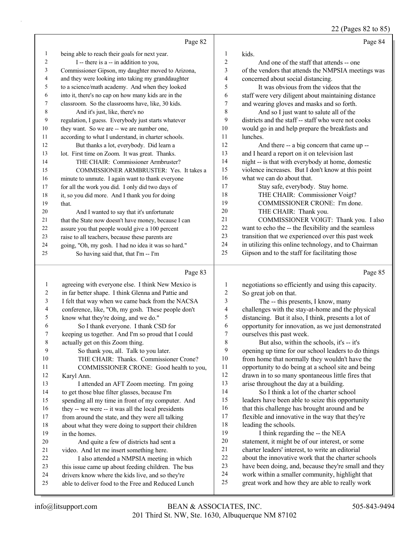22 (Pages 82 to 85)

|    | Page 82                                              |                          | Page 84                                              |
|----|------------------------------------------------------|--------------------------|------------------------------------------------------|
| 1  | being able to reach their goals for next year.       | 1                        | kids.                                                |
| 2  | I -- there is a -- in addition to you,               | 2                        | And one of the staff that attends -- one             |
| 3  | Commissioner Gipson, my daughter moved to Arizona,   | 3                        | of the vendors that attends the NMPSIA meetings was  |
| 4  | and they were looking into taking my granddaughter   | $\overline{4}$           | concerned about social distancing.                   |
| 5  | to a science/math academy. And when they looked      | $\overline{\phantom{0}}$ | It was obvious from the videos that the              |
| 6  | into it, there's no cap on how many kids are in the  | 6                        | staff were very diligent about maintaining distance  |
| 7  | classroom. So the classrooms have, like, 30 kids.    | 7                        | and wearing gloves and masks and so forth.           |
| 8  | And it's just, like, there's no                      | 8                        | And so I just want to salute all of the              |
| 9  | regulation, I guess. Everybody just starts whatever  | 9                        | districts and the staff -- staff who were not cooks  |
| 10 | they want. So we are -- we are number one,           | 10                       | would go in and help prepare the breakfasts and      |
| 11 | according to what I understand, in charter schools.  | 11                       | lunches.                                             |
| 12 | But thanks a lot, everybody. Did learn a             | 12                       | And there -- a big concern that came up --           |
| 13 | lot. First time on Zoom. It was great. Thanks.       | 13                       | and I heard a report on it on television last        |
| 14 | THE CHAIR: Commissioner Armbruster?                  | 14                       | night -- is that with everybody at home, domestic    |
| 15 | COMMISSIONER ARMBRUSTER: Yes. It takes a             | 15                       | violence increases. But I don't know at this point   |
| 16 | minute to unmute. I again want to thank everyone     | 16                       | what we can do about that.                           |
| 17 | for all the work you did. I only did two days of     | 17                       | Stay safe, everybody. Stay home.                     |
| 18 | it, so you did more. And I thank you for doing       | 18                       | THE CHAIR: Commissioner Voigt?                       |
| 19 | that.                                                | 19                       | COMMISSIONER CRONE: I'm done.                        |
| 20 | And I wanted to say that it's unfortunate            | 20                       | THE CHAIR: Thank you.                                |
| 21 | that the State now doesn't have money, because I can | 21                       | COMMISSIONER VOIGT: Thank you. I also                |
| 22 | assure you that people would give a 100 percent      | 22                       | want to echo the -- the flexibility and the seamless |
| 23 | raise to all teachers, because these parents are     | 23                       | transition that we experienced over this past week   |
| 24 | going, "Oh, my gosh. I had no idea it was so hard."  | 24                       | in utilizing this online technology, and to Chairman |
| 25 | So having said that, that I'm -- I'm                 | 25                       | Gipson and to the staff for facilitating those       |

# $\overline{P_{\text{aoe}} 83}$

|    | Page 83                                              |    | Page 85                                              |
|----|------------------------------------------------------|----|------------------------------------------------------|
| 1  | agreeing with everyone else. I think New Mexico is   | 1  | negotiations so efficiently and using this capacity. |
| 2  | in far better shape. I think Glenna and Pattie and   | 2  | So great job on that.                                |
| 3  | I felt that way when we came back from the NACSA     | 3  | The -- this presents, I know, many                   |
| 4  | conference, like, "Oh, my gosh. These people don't   | 4  | challenges with the stay-at-home and the physical    |
| 5  | know what they're doing, and we do."                 | 5  | distancing. But it also, I think, presents a lot of  |
| 6  | So I thank everyone. I thank CSD for                 | 6  | opportunity for innovation, as we just demonstrated  |
| 7  | keeping us together. And I'm so proud that I could   | 7  | ourselves this past week.                            |
| 8  | actually get on this Zoom thing.                     | 8  | But also, within the schools, it's -- it's           |
| 9  | So thank you, all. Talk to you later.                | 9  | opening up time for our school leaders to do things  |
| 10 | THE CHAIR: Thanks. Commissioner Crone?               | 10 | from home that normally they wouldn't have the       |
| 11 | COMMISSIONER CRONE: Good health to you,              | 11 | opportunity to do being at a school site and being   |
| 12 | Karyl Ann.                                           | 12 | drawn in to so many spontaneous little fires that    |
| 13 | I attended an AFT Zoom meeting. I'm going            | 13 | arise throughout the day at a building.              |
| 14 | to get those blue filter glasses, because I'm        | 14 | So I think a lot of the charter school               |
| 15 | spending all my time in front of my computer. And    | 15 | leaders have been able to seize this opportunity     |
| 16 | they -- we were -- it was all the local presidents   | 16 | that this challenge has brought around and be        |
| 17 | from around the state, and they were all talking     | 17 | flexible and innovative in the way that they're      |
| 18 | about what they were doing to support their children | 18 | leading the schools.                                 |
| 19 | in the homes.                                        | 19 | I think regarding the -- the NEA                     |
| 20 | And quite a few of districts had sent a              | 20 | statement, it might be of our interest, or some      |
| 21 | video. And let me insert something here.             | 21 | charter leaders' interest, to write an editorial     |
| 22 | I also attended a NMPSIA meeting in which            | 22 | about the innovative work that the charter schools   |
| 23 | this issue came up about feeding children. The bus   | 23 | have been doing, and, because they're small and they |
| 24 | drivers know where the kids live, and so they're     | 24 | work within a smaller community, highlight that      |
| 25 | able to deliver food to the Free and Reduced Lunch   | 25 | great work and how they are able to really work      |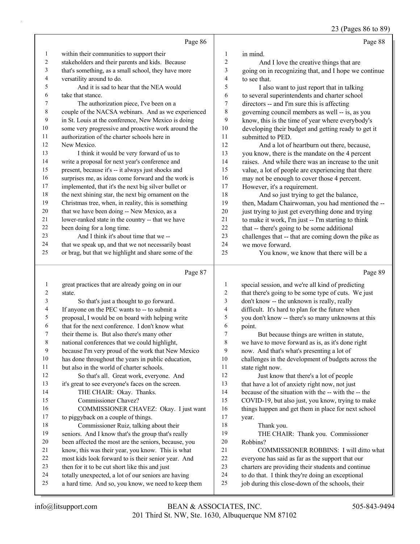23 (Pages 86 to 89)

|              |                                                                                                             |                              | 25 (Fages ou to $\sigma$ )                                                                             |
|--------------|-------------------------------------------------------------------------------------------------------------|------------------------------|--------------------------------------------------------------------------------------------------------|
|              | Page 86                                                                                                     |                              | Page 88                                                                                                |
| $\mathbf{1}$ | within their communities to support their                                                                   | 1                            | in mind.                                                                                               |
| 2            | stakeholders and their parents and kids. Because                                                            | $\boldsymbol{2}$             | And I love the creative things that are                                                                |
| 3            | that's something, as a small school, they have more                                                         | 3                            | going on in recognizing that, and I hope we continue                                                   |
| 4            | versatility around to do.                                                                                   | 4                            | to see that.                                                                                           |
| 5            | And it is sad to hear that the NEA would                                                                    | 5                            | I also want to just report that in talking                                                             |
| 6            | take that stance.                                                                                           | 6                            | to several superintendents and charter school                                                          |
| 7            | The authorization piece, I've been on a                                                                     | 7                            | directors -- and I'm sure this is affecting                                                            |
| $\,$ 8 $\,$  | couple of the NACSA webinars. And as we experienced                                                         | $\,$ $\,$                    | governing council members as well -- is, as you                                                        |
| 9            | in St. Louis at the conference, New Mexico is doing                                                         | 9                            | know, this is the time of year where everybody's                                                       |
| $10\,$       | some very progressive and proactive work around the                                                         | $10\,$                       | developing their budget and getting ready to get it                                                    |
| 11           | authorization of the charter schools here in                                                                | 11                           | submitted to PED.                                                                                      |
| 12           | New Mexico.                                                                                                 | 12                           | And a lot of heartburn out there, because,                                                             |
| 13           | I think it would be very forward of us to                                                                   | 13                           | you know, there is the mandate on the 4 percent                                                        |
| 14           | write a proposal for next year's conference and                                                             | 14                           | raises. And while there was an increase to the unit                                                    |
| 15<br>16     | present, because it's -- it always just shocks and                                                          | 15<br>16                     | value, a lot of people are experiencing that there                                                     |
| 17           | surprises me, as ideas come forward and the work is                                                         | 17                           | may not be enough to cover those 4 percent.                                                            |
| $18\,$       | implemented, that it's the next big silver bullet or<br>the next shining star, the next big ornament on the | 18                           | However, it's a requirement.                                                                           |
| 19           | Christmas tree, when, in reality, this is something                                                         | 19                           | And so just trying to get the balance,<br>then, Madam Chairwoman, you had mentioned the --             |
| $20\,$       | that we have been doing -- New Mexico, as a                                                                 | 20                           | just trying to just get everything done and trying                                                     |
| $21\,$       | lower-ranked state in the country -- that we have                                                           | 21                           | to make it work, I'm just -- I'm starting to think                                                     |
| 22           | been doing for a long time.                                                                                 | 22                           | that -- there's going to be some additional                                                            |
| 23           | And I think it's about time that we --                                                                      | 23                           | challenges that -- that are coming down the pike as                                                    |
| 24           | that we speak up, and that we not necessarily boast                                                         | 24                           | we move forward.                                                                                       |
| 25           | or brag, but that we highlight and share some of the                                                        | 25                           | You know, we know that there will be a                                                                 |
|              |                                                                                                             |                              |                                                                                                        |
|              |                                                                                                             |                              |                                                                                                        |
|              | Page 87                                                                                                     |                              | Page 89                                                                                                |
|              |                                                                                                             |                              |                                                                                                        |
| $\mathbf{1}$ | great practices that are already going on in our<br>state.                                                  | 1                            | special session, and we're all kind of predicting                                                      |
| 2<br>3       |                                                                                                             | $\sqrt{2}$<br>$\mathfrak{Z}$ | that there's going to be some type of cuts. We just                                                    |
| 4            | So that's just a thought to go forward.<br>If anyone on the PEC wants to -- to submit a                     | $\overline{4}$               | don't know -- the unknown is really, really                                                            |
| 5            | proposal, I would be on board with helping write                                                            | 5                            | difficult. It's hard to plan for the future when<br>you don't know -- there's so many unknowns at this |
| 6            | that for the next conference. I don't know what                                                             | 6                            | point.                                                                                                 |
| 7            | their theme is. But also there's many other                                                                 | 7                            | But because things are written in statute,                                                             |
| $\,$ 8 $\,$  | national conferences that we could highlight,                                                               | 8                            | we have to move forward as is, as it's done right                                                      |
| 9            | because I'm very proud of the work that New Mexico                                                          | 9                            | now. And that's what's presenting a lot of                                                             |
| $10\,$       | has done throughout the years in public education,                                                          | 10                           | challenges in the development of budgets across the                                                    |
| 11           | but also in the world of charter schools.                                                                   | 11                           | state right now.                                                                                       |
| 12           | So that's all. Great work, everyone. And                                                                    | 12                           | Just know that there's a lot of people                                                                 |
| 13           | it's great to see everyone's faces on the screen.                                                           | 13                           | that have a lot of anxiety right now, not just                                                         |
| 14           | THE CHAIR: Okay. Thanks.                                                                                    | 14                           | because of the situation with the -- with the -- the                                                   |
| 15           | Commissioner Chavez?                                                                                        | 15                           | COVID-19, but also just, you know, trying to make                                                      |
| 16           | COMMISSIONER CHAVEZ: Okay. I just want                                                                      | 16                           | things happen and get them in place for next school                                                    |
| 17           | to piggyback on a couple of things.                                                                         | 17                           | year.                                                                                                  |
| 18           | Commissioner Ruiz, talking about their                                                                      | 18                           | Thank you.                                                                                             |
| 19           | seniors. And I know that's the group that's really                                                          | 19                           | THE CHAIR: Thank you. Commissioner                                                                     |
| $20\,$       | been affected the most are the seniors, because, you                                                        | $20\,$                       | Robbins?                                                                                               |
| $21\,$       | know, this was their year, you know. This is what                                                           | $21\,$                       | COMMISSIONER ROBBINS: I will ditto what                                                                |
| $22\,$       | most kids look forward to is their senior year. And                                                         | $22\,$                       | everyone has said as far as the support that our                                                       |
| 23           | then for it to be cut short like this and just                                                              | 23                           | charters are providing their students and continue                                                     |
| 24<br>25     | totally unexpected, a lot of our seniors are having<br>a hard time. And so, you know, we need to keep them  | $24\,$<br>25                 | to do that. I think they're doing an exceptional<br>job during this close-down of the schools, their   |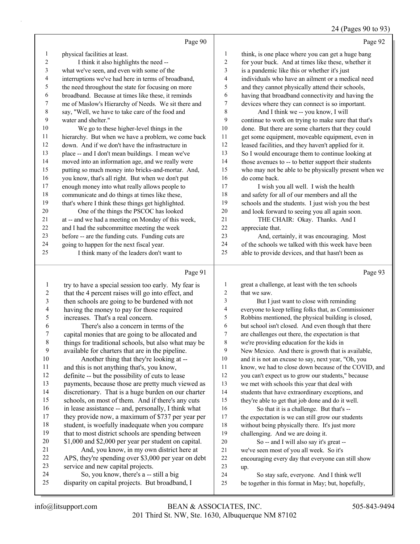#### 24 (Pages 90 to 93)

|                         | Page 90                                              |                  | Page 92                                              |
|-------------------------|------------------------------------------------------|------------------|------------------------------------------------------|
| $\mathbf{1}$            | physical facilities at least.                        | $\mathbf{1}$     | think, is one place where you can get a huge bang    |
| $\sqrt{2}$              | I think it also highlights the need --               | $\sqrt{2}$       | for your buck. And at times like these, whether it   |
| $\mathfrak{Z}$          | what we've seen, and even with some of the           | $\mathfrak{Z}$   | is a pandemic like this or whether it's just         |
| 4                       | interruptions we've had here in terms of broadband,  | $\overline{4}$   | individuals who have an ailment or a medical need    |
| 5                       | the need throughout the state for focusing on more   | 5                | and they cannot physically attend their schools,     |
| 6                       | broadband. Because at times like these, it reminds   | 6                | having that broadband connectivity and having the    |
| $\boldsymbol{7}$        | me of Maslow's Hierarchy of Needs. We sit there and  | $\tau$           | devices where they can connect is so important.      |
| 8                       | say, "Well, we have to take care of the food and     | $\,$ $\,$        | And I think we -- you know, I will                   |
| 9                       | water and shelter."                                  | 9                | continue to work on trying to make sure that that's  |
| $10\,$                  | We go to these higher-level things in the            | $10\,$           | done. But there are some charters that they could    |
| $11\,$                  | hierarchy. But when we have a problem, we come back  | 11               | get some equipment, moveable equipment, even in      |
| 12                      | down. And if we don't have the infrastructure in     | 12               | leased facilities, and they haven't applied for it.  |
| 13                      | place -- and I don't mean buildings. I mean we've    | 13               | So I would encourage them to continue looking at     |
| 14                      | moved into an information age, and we really were    | 14               | those avenues to -- to better support their students |
| 15                      | putting so much money into bricks-and-mortar. And,   | 15               | who may not be able to be physically present when we |
| 16                      | you know, that's all right. But when we don't put    | 16               | do come back.                                        |
| $17\,$                  | enough money into what really allows people to       | $17\,$           | I wish you all well. I wish the health               |
| $18\,$                  | communicate and do things at times like these,       | $18\,$           | and safety for all of our members and all the        |
| 19                      | that's where I think these things get highlighted.   | 19               | schools and the students. I just wish you the best   |
| $20\,$                  | One of the things the PSCOC has looked               | $20\,$           | and look forward to seeing you all again soon.       |
| $21\,$                  | at -- and we had a meeting on Monday of this week,   | 21               | THE CHAIR: Okay. Thanks. And I                       |
| $22\,$                  | and I had the subcommittee meeting the week          | $22\,$           | appreciate that.                                     |
| 23                      | before -- are the funding cuts. Funding cuts are     | 23               | And, certainly, it was encouraging. Most             |
| 24                      | going to happen for the next fiscal year.            | 24               | of the schools we talked with this week have been    |
| 25                      | I think many of the leaders don't want to            | 25               | able to provide devices, and that hasn't been as     |
|                         | Page 91                                              |                  | Page 93                                              |
| $\mathbf{1}$            | try to have a special session too early. My fear is  | $\mathbf{1}$     | great a challenge, at least with the ten schools     |
| $\overline{\mathbf{c}}$ | that the 4 percent raises will go into effect, and   | $\sqrt{2}$       | that we saw.                                         |
| $\mathfrak{Z}$          | then schools are going to be burdened with not       | $\mathfrak{Z}$   | But I just want to close with reminding              |
| 4                       | having the money to pay for those required           | $\overline{4}$   | everyone to keep telling folks that, as Commissioner |
| 5                       | increases. That's a real concern.                    | 5                | Robbins mentioned, the physical building is closed,  |
| 6                       | There's also a concern in terms of the               | 6                | but school isn't closed. And even though that there  |
| $\boldsymbol{7}$        | capital monies that are going to be allocated and    | $\boldsymbol{7}$ | are challenges out there, the expectation is that    |
| $\,$ $\,$               | things for traditional schools, but also what may be | $\,8\,$          | we're providing education for the kids in            |
| 9                       | available for charters that are in the pipeline.     | $\mathbf{9}$     | New Mexico. And there is growth that is available,   |
| $10\,$                  | Another thing that they're looking at --             | $10\,$           | and it is not an excuse to say, next year, "Oh, you  |
| 11                      | and this is not anything that's, you know,           | 11               | know, we had to close down because of the COVID, and |
| 12                      | definite -- but the possibility of cuts to lease     | 12               | you can't expect us to grow our students," because   |

 discretionary. That is a huge burden on our charter schools, on most of them. And if there's any cuts in lease assistance -- and, personally, I think what

payments, because those are pretty much viewed as

- they provide now, a maximum of \$737 per year per student, is woefully inadequate when you compare that to most district schools are spending between
- \$1,000 and \$2,000 per year per student on capital. 21 And, you know, in my own district here at APS, they're spending over \$3,000 per year on debt service and new capital projects.
- 24 So, you know, there's a -- still a big disparity on capital projects. But broadband, I
- 12 you can't expect us to grow our students," because 12
- we met with schools this year that deal with
- students that have extraordinary exceptions, and
- they're able to get that job done and do it well.
- 16 So that it is a challenge. But that's -- the expectation is we can still grow our students without being physically there. It's just more challenging. And we are doing it.
- 20 So -- and I will also say it's great -- we've seen most of you all week. So it's encouraging every day that everyone can still show up.
- 24 So stay safe, everyone. And I think we'll
- be together in this format in May; but, hopefully,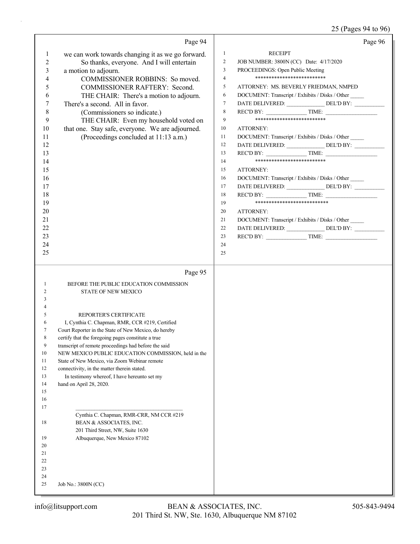## 25 (Pages 94 to 96)

|                                                                                                                                                                  | Page 94                                                                                                                                                                                                                                                                                                                                                                                                                                        | Page 96                                                                                                                                                                                                                                                                                                                                                                                                                                                                                                                                                                                                                                                                                                                                                                                                                                                           |
|------------------------------------------------------------------------------------------------------------------------------------------------------------------|------------------------------------------------------------------------------------------------------------------------------------------------------------------------------------------------------------------------------------------------------------------------------------------------------------------------------------------------------------------------------------------------------------------------------------------------|-------------------------------------------------------------------------------------------------------------------------------------------------------------------------------------------------------------------------------------------------------------------------------------------------------------------------------------------------------------------------------------------------------------------------------------------------------------------------------------------------------------------------------------------------------------------------------------------------------------------------------------------------------------------------------------------------------------------------------------------------------------------------------------------------------------------------------------------------------------------|
| 1<br>$\overline{2}$<br>3<br>4<br>5<br>6<br>7<br>$\,$ 8 $\,$<br>9<br>10<br>11<br>12<br>13<br>14<br>15<br>16<br>17<br>18<br>19<br>20<br>21<br>22<br>23<br>24<br>25 | we can work towards changing it as we go forward.<br>So thanks, everyone. And I will entertain<br>a motion to adjourn.<br>COMMISSIONER ROBBINS: So moved.<br>COMMISSIONER RAFTERY: Second.<br>THE CHAIR: There's a motion to adjourn.<br>There's a second. All in favor.<br>(Commissioners so indicate.)<br>THE CHAIR: Even my household voted on<br>that one. Stay safe, everyone. We are adjourned.<br>(Proceedings concluded at 11:13 a.m.) | $\mathbf{1}$<br><b>RECEIPT</b><br>2<br>JOB NUMBER: 3800N (CC) Date: 4/17/2020<br>$\overline{3}$<br>PROCEEDINGS: Open Public Meeting<br>**************************<br>$\overline{4}$<br>5<br>ATTORNEY: MS. BEVERLY FRIEDMAN, NMPED<br>6<br>DOCUMENT: Transcript / Exhibits / Disks / Other<br>DATE DELIVERED: ________________ DEL'D BY: ____________<br>$\tau$<br>$\,$ 8 $\,$<br>**************************<br>9<br>10<br>ATTORNEY:<br>11<br>DOCUMENT: Transcript / Exhibits / Disks / Other<br>12<br>$RECD BY:$ TIME:<br>13<br>**************************<br>14<br>15<br><b>ATTORNEY:</b><br>16<br>DOCUMENT: Transcript / Exhibits / Disks / Other<br>DATE DELIVERED: _______________ DEL'D BY: __________<br>17<br>18<br>****************************<br>19<br>20<br>ATTORNEY:<br>21<br>DOCUMENT: Transcript / Exhibits / Disks / Other<br>22<br>23<br>24<br>25 |
|                                                                                                                                                                  |                                                                                                                                                                                                                                                                                                                                                                                                                                                |                                                                                                                                                                                                                                                                                                                                                                                                                                                                                                                                                                                                                                                                                                                                                                                                                                                                   |
|                                                                                                                                                                  |                                                                                                                                                                                                                                                                                                                                                                                                                                                |                                                                                                                                                                                                                                                                                                                                                                                                                                                                                                                                                                                                                                                                                                                                                                                                                                                                   |
| 1<br>2<br>3<br>4<br>5                                                                                                                                            | Page 95<br>BEFORE THE PUBLIC EDUCATION COMMISSION<br><b>STATE OF NEW MEXICO</b><br>REPORTER'S CERTIFICATE                                                                                                                                                                                                                                                                                                                                      |                                                                                                                                                                                                                                                                                                                                                                                                                                                                                                                                                                                                                                                                                                                                                                                                                                                                   |
| 6<br>7                                                                                                                                                           | I, Cynthia C. Chapman, RMR, CCR #219, Certified<br>Court Reporter in the State of New Mexico, do hereby                                                                                                                                                                                                                                                                                                                                        |                                                                                                                                                                                                                                                                                                                                                                                                                                                                                                                                                                                                                                                                                                                                                                                                                                                                   |
| 8                                                                                                                                                                | certify that the foregoing pages constitute a true                                                                                                                                                                                                                                                                                                                                                                                             |                                                                                                                                                                                                                                                                                                                                                                                                                                                                                                                                                                                                                                                                                                                                                                                                                                                                   |
| $\overline{9}$<br>10                                                                                                                                             | transcript of remote proceedings had before the said<br>NEW MEXICO PUBLIC EDUCATION COMMISSION, held in the                                                                                                                                                                                                                                                                                                                                    |                                                                                                                                                                                                                                                                                                                                                                                                                                                                                                                                                                                                                                                                                                                                                                                                                                                                   |
| 11                                                                                                                                                               | State of New Mexico, via Zoom Webinar remote                                                                                                                                                                                                                                                                                                                                                                                                   |                                                                                                                                                                                                                                                                                                                                                                                                                                                                                                                                                                                                                                                                                                                                                                                                                                                                   |
| 12                                                                                                                                                               | connectivity, in the matter therein stated.                                                                                                                                                                                                                                                                                                                                                                                                    |                                                                                                                                                                                                                                                                                                                                                                                                                                                                                                                                                                                                                                                                                                                                                                                                                                                                   |
| 13<br>14                                                                                                                                                         | In testimony whereof, I have hereunto set my                                                                                                                                                                                                                                                                                                                                                                                                   |                                                                                                                                                                                                                                                                                                                                                                                                                                                                                                                                                                                                                                                                                                                                                                                                                                                                   |
| 15                                                                                                                                                               | hand on April 28, 2020.                                                                                                                                                                                                                                                                                                                                                                                                                        |                                                                                                                                                                                                                                                                                                                                                                                                                                                                                                                                                                                                                                                                                                                                                                                                                                                                   |
| 16                                                                                                                                                               |                                                                                                                                                                                                                                                                                                                                                                                                                                                |                                                                                                                                                                                                                                                                                                                                                                                                                                                                                                                                                                                                                                                                                                                                                                                                                                                                   |
| 17                                                                                                                                                               |                                                                                                                                                                                                                                                                                                                                                                                                                                                |                                                                                                                                                                                                                                                                                                                                                                                                                                                                                                                                                                                                                                                                                                                                                                                                                                                                   |
| 18                                                                                                                                                               | Cynthia C. Chapman, RMR-CRR, NM CCR #219<br>BEAN & ASSOCIATES, INC.                                                                                                                                                                                                                                                                                                                                                                            |                                                                                                                                                                                                                                                                                                                                                                                                                                                                                                                                                                                                                                                                                                                                                                                                                                                                   |
| 19                                                                                                                                                               | 201 Third Street, NW, Suite 1630<br>Albuquerque, New Mexico 87102                                                                                                                                                                                                                                                                                                                                                                              |                                                                                                                                                                                                                                                                                                                                                                                                                                                                                                                                                                                                                                                                                                                                                                                                                                                                   |
| 20                                                                                                                                                               |                                                                                                                                                                                                                                                                                                                                                                                                                                                |                                                                                                                                                                                                                                                                                                                                                                                                                                                                                                                                                                                                                                                                                                                                                                                                                                                                   |
| 21                                                                                                                                                               |                                                                                                                                                                                                                                                                                                                                                                                                                                                |                                                                                                                                                                                                                                                                                                                                                                                                                                                                                                                                                                                                                                                                                                                                                                                                                                                                   |
| 22                                                                                                                                                               |                                                                                                                                                                                                                                                                                                                                                                                                                                                |                                                                                                                                                                                                                                                                                                                                                                                                                                                                                                                                                                                                                                                                                                                                                                                                                                                                   |
| 23<br>24                                                                                                                                                         |                                                                                                                                                                                                                                                                                                                                                                                                                                                |                                                                                                                                                                                                                                                                                                                                                                                                                                                                                                                                                                                                                                                                                                                                                                                                                                                                   |